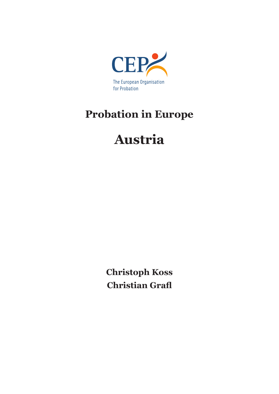

## **Probation in Europe**

# **Austria**

**Christoph Koss Christian Grafl**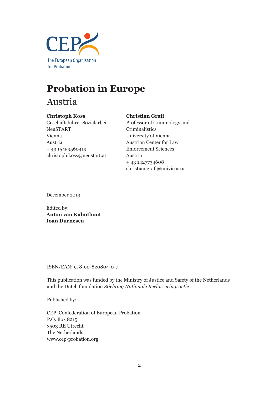

## **Probation in Europe**

Austria

#### **Christoph Koss**

## **Christian Grafl**

Geschäftsführer Sozialarbeit NeuSTART Vienna Austria + 43 15459560419 christoph.koss@neustart.at

Professor of Criminology and Criminalistics University of Vienna Austrian Center for Law Enforcement Sciences Austria + 43 1427734608 christian.grafl@univie.ac.at

December 2013

Edited by: **Anton van Kalmthout Ioan Durnescu**

ISBN/EAN: 978-90-820804-0-7

This publication was funded by the Ministry of Justice and Safety of the Netherlands and the Dutch foundation *Stichting Nationale Reclasseringsactie*

Published by:

CEP, Confederation of European Probation P.O. Box 8215 3503 RE Utrecht The Netherlands www.cep-probation.org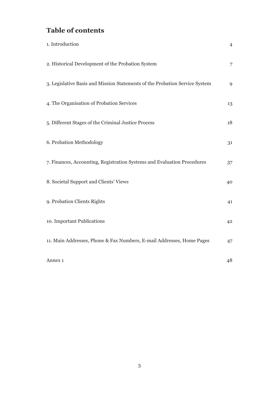## **Table of contents**

| 1. Introduction                                                             | $\overline{4}$ |
|-----------------------------------------------------------------------------|----------------|
| 2. Historical Development of the Probation System                           | 7              |
| 3. Legislative Basis and Mission Statements of the Probation Service System | 9              |
| 4. The Organisation of Probation Services                                   | 13             |
| 5. Different Stages of the Criminal Justice Process                         | 18             |
| 6. Probation Methodology                                                    | 31             |
| 7. Finances, Accounting, Registration Systems and Evaluation Procedures     | 37             |
| 8. Societal Support and Clients' Views                                      | 40             |
| 9. Probation Clients Rights                                                 | 41             |
| 10. Important Publications                                                  | 42             |
| 11. Main Addresses, Phone & Fax Numbers, E-mail Addresses, Home Pages       | 47             |
| Annex 1                                                                     | 48             |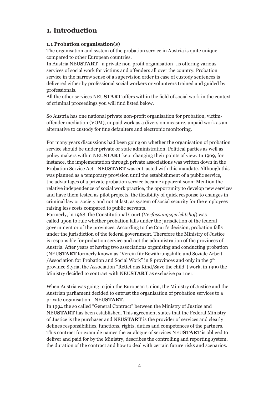## **1. Introduction**

#### **1.1 Probation organisation(s)**

The organisation and system of the probation service in Austria is quite unique compared to other European countries.

In Austria NEU**START** - a private non-profit organisation -,is offering various services of social work for victims and offenders all over the country. Probation service in the narrow sense of a supervision order in case of custody sentences is delivered either by professional social workers or volunteers trained and guided by professionals.

All the other services NEU**START** offers within the field of social work in the context of criminal proceedings you will find listed below.

So Austria has one national private non-profit organisation for probation, victimoffender mediation (VOM), unpaid work as a diversion measure, unpaid work as an alternative to custody for fine defaulters and electronic monitoring.

For many years discussions had been going on whether the organisation of probation service should be under private or state administration. Political parties as well as policy makers within NEU**START** kept changing their points of view. In 1969, for instance, the implementation through private associations was written down in the Probation Service Act - NEU**START** was entrusted with this mandate. Although this was planned as a temporary provision until the establishment of a public service, the advantages of a private probation service became apparent soon: Mention the relative independence of social work practice, the opportunity to develop new services and have them tested as pilot projects, the flexibility of quick response to changes in criminal law or society and not at last, as system of social security for the employees raising less costs compared to public servants.

Formerly, in 1968, the Constitutional Court (*Verfassungsgerichtshof*) was called upon to rule whether probation falls under the jurisdiction of the federal government or of the provinces. According to the Court's decision, probation falls under the jurisdiction of the federal government. Therefore the Ministry of Justice is responsible for probation service and not the administration of the provinces of Austria. After years of having two associations organising and conducting probation (NEU**START** formerly known as "Verein für Bewährungshilfe und Soziale Arbeit /Association for Probation and Social Work" in 8 provinces and only in the 9th province Styria, the Association "Rettet das Kind/Save the child") work, in 1999 the Ministry decided to contract with NEU**START** as exclusive partner.

When Austria was going to join the European Union, the Ministry of Justice and the Austrian parliament decided to entrust the organisation of probation services to a private organisation - NEU**START**.

In 1994 the so called "General Contract" between the Ministry of Justice and NEU**START** has been established. This agreement states that the Federal Ministry of Justice is the purchaser and NEU**START** is the provider of services and clearly defines responsibilities, functions, rights, duties and competences of the partners. This contract for example names the catalogue of services NEU**START** is obliged to deliver and paid for by the Ministry, describes the controlling and reporting system, the duration of the contract and how to deal with certain future risks and scenarios.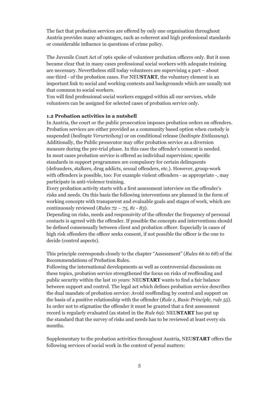The fact that probation services are offered by only one organisation throughout Austria provides many advantages, such as coherent and high professional standards or considerable influence in questions of crime policy.

The Juvenile Court Act of 1961 spoke of volunteer probation officers only. But it soon became clear that in many cases professional social workers with adequate training are necessary. Nevertheless still today volunteers are supervising a part – about one third - of the probation cases. For NEU**START**, the voluntary element is an important link to social and working contexts and backgrounds which are usually not that common to social workers.

You will find professional social workers engaged within all our services, while volunteers can be assigned for selected cases of probation service only.

#### **1.2 Probation activities in a nutshell**

In Austria, the court or the public prosecution imposes probation orders on offenders. Probation services are either provided as a community based option when custody is suspended (*bedingte Verurteilung*) or on conditional release (*bedingte Entlassung*). Additionally, the Public prosecutor may offer probation service as a diversion measure during the pre-trial phase. In this case the offender's consent is needed. In most cases probation service is offered as individual supervision; specific standards in support programmes are compulsory for certain delinquents (defrauders, stalkers, drug addicts, sexual offenders, etc.). However, group-work with offenders is possible, too: For example violent offenders - as appropriate -, may participate in anti-violence training.

Every probation activity starts with a first assessment interview on the offender's risks and needs. On this basis the following interventions are planned in the form of working concepts with transparent and evaluable goals and stages of work, which are continuously reviewed (*Rules 72 – 75, 81 - 83*).

Depending on risks, needs and responsivity of the offender the frequency of personal contacts is agreed with the offender. If possible the concepts and interventions should be defined consensually between client and probation officer. Especially in cases of high risk offenders the officer seeks consent, if not possible the officer is the one to decide (control aspects).

This principle corresponds closely to the chapter "Assessment" (*Rules 66 to 68*) of the Recommendations of Probation Rules.

Following the international developments as well as controversial discussions on these topics, probation service strengthened the focus on risks of reoffending and public security within the last 10 years: NEU**START** wants to find a fair balance between support and control. The legal act which defines probation service describes the dual mandate of probation service: Avoid reoffending by control and support on the basis of a positive relationship with the offender (*Rule 1, Basic Principle, rule 55*). In order not to stigmatise the offender it must be granted that a first assessment record is regularly evaluated (as stated in the *Rule 69*): NEU**START** has put up the standard that the survey of risks and needs has to be reviewed at least every six months.

Supplementary to the probation activities throughout Austria, NEU**START** offers the following services of social work in the context of penal matters: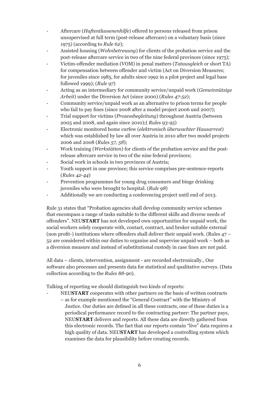- Aftercare (*Haftentlassenenhilfe*) offered to persons released from prison unsupervised at full term (post-release aftercare) on a voluntary basis (since 1975) (according to *Rule 62*);
- Assisted housing (*Wohnbetreuung*) for clients of the probation service and the post-release aftercare service in two of the nine federal provinces (since 1975);
- Victim-offender mediation (VOM) in penal matters (*Tatausgleich* or short TA) for compensation between offender and victim (Act on Diversion Measures; for juveniles since 1985, for adults since 1992 in a pilot project and legal base followed 1999); (*Rule 97*)
- Acting as an intermediary for community service/unpaid work (*Gemeinnützige Arbeit*) under the Diversion Act (since 2000) (*Rules 47-52*);
- Community service/unpaid work as an alternative to prison terms for people who fail to pay fines (since 2008 after a model project 2006 und 2007);
- Trial support for victims (*Prozessbegleitung*) throughout Austria (between 2005 and 2008, and again since 2010);( *Rules 93-95*)
- Electronic monitored home curfew (*elektronisch überwachter Hausarrest*) which was established by law all over Austria in 2010 after two model projects 2006 and 2008 (*Rules 57, 58*);
- Work training (*Werkstätten*) for clients of the probation service and the postrelease aftercare service in two of the nine federal provinces;
- Social work in schools in two provinces of Austria;
- Youth support in one province; this service comprises pre-sentence-reports (*Rules 42-44*)
- Prevention programmes for young drug consumers and binge drinking juveniles who were brought to hospital. (*Rule 98*)
- Additionally we are conducting a conferencing project until end of 2013.

Rule 51 states that "Probation agencies shall develop community service schemes that encompass a range of tasks suitable to the different skills and diverse needs of offenders". NEU**START** has not developed own opportunities for unpaid work, the social workers solely cooperate with, contact, contract, and broker suitable external (non profit-) institutions where offenders shall deliver their unpaid work. (Rules  $47 -$ 52 are considered within our duties to organise and supervise unpaid work – both as a diversion measure and instead of substitutional custody in case fines are not paid.

All data – clients, intervention, assignment - are recorded electronically., Our software also processes and presents data for statistical and qualitative surveys. (Data collection according to the *Rules 88-90*).

Talking of reporting we should distinguish two kinds of reports:

- NEU**START** cooperates with other partners on the basis of written contracts – as for example mentioned the "General Contract" with the Ministry of Justice. Our duties are defined in all these contracts, one of these duties is a periodical performance record to the contracting partner: The partner pays, NEU**START** delivers and reports. All these data are directly gathered from this electronic records. The fact that our reports contain "live" data requires a high quality of data. NEU**START** has developed a controlling system which examines the data for plausibility before creating records.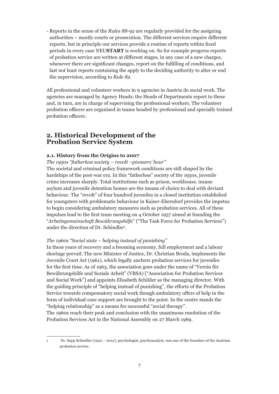- Reports in the sense of the *Rules 88-92* are regularly provided for the assigning authorities – mostly courts or prosecution. The different services require different reports, but in principle our services provide a routine of reports within fixed periods in every case NEU**START** is working on. So for example progress reports of probation service are written at different stages, in any case of a new charges, whenever there are significant changes, report on the fulfilling of conditions, and last not least reports containing the apply to the deciding authority to alter or end the supervision, according to *Rule 82*.

All professional and volunteer workers in 9 agencies in Austria do social work. The agencies are managed by Agency Heads; the Heads of Departments report to these and, in turn, are in charge of supervising the professional workers. The volunteer probation officers are organised in teams headed by professional and specially trained probation officers.

## **2. Historical Development of the Probation Service System**

#### **2.1. History from the Origins to 2007**

*The 1950s "fatherless society – revolt –pioneers' hour"*

The societal and criminal policy framework conditions are still shaped by the hardships of the post-war era. In this "fatherless" society of the 1950s, juvenile crime increases sharply. Total institutions such as prison, workhouse, insane asylum and juvenile detention homes are the means of choice to deal with deviant behaviour. The "revolt" of four hundred juveniles in a closed institution established for youngsters with problematic behaviour in Kaiser-Ebersdorf provides the impetus to begin considering ambulatory measures such as probation services. All of these impulses lead to the first team meeting on 4 October 1957 aimed at founding the "*Arbeitsgemeinschaft Bewährungshilfe*" ("The Task Force for Probation Services") under the direction of Dr. Schindler<sup>1</sup>.

#### *The 1960s "Social state – helping instead of punishing"*

In these years of recovery and a booming economy, full employment and a labour shortage prevail. The new Minister of Justice, Dr. Christian Broda, implements the Juvenile Court Act (1961), which legally anchors probation services for juveniles for the first time. As of 1963, the association goes under the name of "Verein für Bewährungshilfe und Soziale Arbeit" (VBSA) ["Association for Probation Services and Social Work"] and appoints Elisabeth Schilder as the managing director. With the guiding principle of "helping instead of punishing", the efforts of the Probation Service towards compensatory social work though ambulatory offers of help in the form of individual-case support are brought to the point. In the centre stands the "helping relationship" as a means for successful "social therapy".

The 1960s reach their peak and conclusion with the unanimous resolution of the Probation Services Act in the National Assembly on 27 March 1969.

<sup>1</sup> Dr. Sepp Schindler (1922 – 2012), psychologist, psychoanalyst, was one of the founders of the Austrian probation service.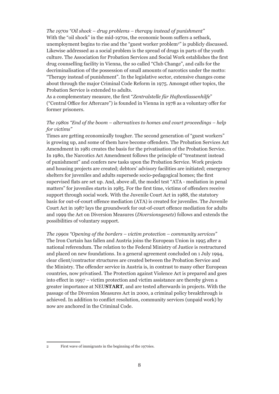*The 1970s "Oil shock – drug problems – therapy instead of punishment"* With the "oil shock" in the mid-1970s, the economic boom suffers a setback, unemployment begins to rise and the "guest worker problem<sup>2</sup>" is publicly discussed. Likewise addressed as a social problem is the spread of drugs in parts of the youth culture. The Association for Probation Services and Social Work establishes the first drug counselling facility in Vienna, the so called "Club Change", and calls for the decriminalisation of the possession of small amounts of narcotics under the motto: "Therapy instead of punishment". In the legislative sector, extensive changes come about through the major Criminal Code Reform in 1975. Amongst other topics, the Probation Service is extended to adults.

As a complementary measure, the first "*Zentralstelle für Haftentlassenhilfe*" ("Central Office for Aftercare") is founded in Vienna in 1978 as a voluntary offer for former prisoners.

#### *The 1980s "End of the boom – alternatives to homes and court proceedings – help for victims"*

Times are getting economically tougher. The second generation of "guest workers" is growing up, and some of them have become offenders. The Probation Services Act Amendment in 1981 creates the basis for the privatisation of the Probation Service. In 1980, the Narcotics Act Amendment follows the principle of "treatment instead of punishment" and confers new tasks upon the Probation Service. Work projects and housing projects are created; debtors' advisory facilities are initiated; emergency shelters for juveniles and adults supersede socio-pedagogical homes; the first supervised flats are set up. And, above all, the model test "ATA - mediation in penal matters" for juveniles starts in 1985. For the first time, victims of offenders receive support through social work. With the Juvenile Court Act in 1988, the statutory basis for out-of-court offence mediation (ATA) is created for juveniles. The Juvenile Court Act in 1987 lays the groundwork for out-of-court offence mediation for adults and 1999 the Act on Diversion Measures (*Diversionsgesetz*) follows and extends the possibilities of voluntary support.

*The 1990s "Opening of the borders – victim protection – community services"* The Iron Curtain has fallen and Austria joins the European Union in 1995 after a national referendum. The relation to the Federal Ministry of Justice is restructured and placed on new foundations. In a general agreement concluded on 1 July 1994, clear client/contractor structures are created between the Probation Service and the Ministry. The offender service in Austria is, in contrast to many other European countries, now privatised. The Protection against Violence Act is prepared and goes into effect in 1997 – victim protection and victim assistance are thereby given a greater importance at NEU**START**, and are tested afterwards in projects. With the passage of the Diversion Measures Act in 2000, a criminal policy breakthrough is achieved. In addition to conflict resolution, community services (unpaid work) by now are anchored in the Criminal Code.

<sup>2</sup> First wave of immigrants in the beginning of the 1970ies.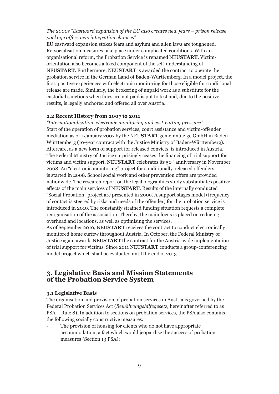#### *The 2000s "Eastward expansion of the EU also creates new fears – prison release package offers new integration chances"*

EU eastward expansion stokes fears and asylum and alien laws are toughened. Re-socialisation measures take place under complicated conditions. With an organisational reform, the Probation Service is renamed NEU**START**. Victimorientation also becomes a fixed component of the self-understanding of NEU**START**. Furthermore, NEU**START** is awarded the contract to operate the probation service in the German Land of Baden-Württemberg. In a model project, the first, positive experiences with electronic monitoring for those eligible for conditional release are made. Similarly, the brokering of unpaid work as a substitute for the custodial sanctions when fines are not paid is put to test and, due to the positive results, is legally anchored and offered all over Austria.

#### **2.2 Recent History from 2007 to 2011**

*"Internationalisation, electronic monitoring and cost-cutting pressure"* Start of the operation of probation services, court assistance and victim-offender mediation as of 1 January 2007 by the NEU**START** gemeinnützige GmbH in Baden-Württemberg (10-year contract with the Justice Ministry of Baden-Württemberg). Aftercare, as a new form of support for released convicts, is introduced in Austria. The Federal Ministry of Justice surprisingly ceases the financing of trial support for victims and victim support. NEU**START** celebrates its 50th anniversary in November 2008. An "electronic monitoring" project for conditionally-released offenders is started in 2008. School social work and other prevention offers are provided nationwide. The research report on the legal biographies study substantiates positive effects of the main services of NEU**START**. Results of the internally conducted "Social Probation" project are presented in 2009. A support stages model (frequency of contact is steered by risks and needs of the offender) for the probation service is introduced in 2010. The constantly strained funding situation requests a complete reorganisation of the association. Thereby, the main focus is placed on reducing overhead and locations, as well as optimising the services.

As of September 2010, NEU**START** receives the contract to conduct electronically monitored home curfew throughout Austria. In October, the Federal Ministry of Justice again awards NEU**START** the contract for the Austria-wide implementation of trial support for victims. Since 2011 NEU**START** conducts a group-conferencing model project which shall be evaluated until the end of 2013.

#### **3. Legislative Basis and Mission Statements of the Probation Service System**

#### **3.1 Legislative Basis**

The organisation and provision of probation services in Austria is governed by the Federal Probation Services Act (*Bewährungshilfegesetz*, hereinafter referred to as PSA – Rule 8). In addition to sections on probation services, the PSA also contains the following socially constructive measures:

The provision of housing for clients who do not have appropriate accommodation, a fact which would jeopardise the success of probation measures (Section 13 PSA);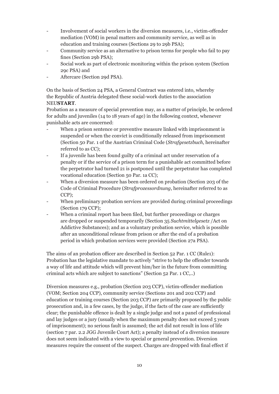- Involvement of social workers in the diversion measures, i.e., victim-offender mediation (VOM) in penal matters and community service, as well as in education and training courses (Sections 29 to 29b PSA);
- Community service as an alternative to prison terms for people who fail to pay fines (Section 29b PSA);
- Social work as part of electronic monitoring within the prison system (Section 29c PSA) and
- Aftercare (Section 29d PSA).

On the basis of Section 24 PSA, a General Contract was entered into, whereby the Republic of Austria delegated these social-work duties to the association NEU**START**.

Probation as a measure of special prevention may, as a matter of principle, be ordered for adults and juveniles (14 to 18 years of age) in the following context, whenever punishable acts are concerned:

- When a prison sentence or preventive measure linked with imprisonment is suspended or when the convict is conditionally released from imprisonment (Section 50 Par. 1 of the Austrian Criminal Code (*Strafgesetzbuch*, hereinafter referred to as CC);
- If a juvenile has been found guilty of a criminal act under reservation of a penalty or if the service of a prison term for a punishable act committed before the perpetrator had turned 21 is postponed until the perpetrator has completed vocational education (Section 50 Par. 1a CC);
- When a diversion measure has been ordered on probation (Section 203 of the Code of Criminal Procedure (*Strafprozessordnung*, hereinafter referred to as CCP);
- When preliminary probation services are provided during criminal proceedings (Section 179 CCP);
- When a criminal report has been filed, but further proceedings or charges are dropped or suspended temporarily (Section 35 *Suchtmittelgesetz* /Act on Addictive Substances); and as a voluntary probation service, which is possible after an unconditional release from prison or after the end of a probation period in which probation services were provided (Section 27a PSA).

The aims of an probation officer are described in Section 52 Par. 1 CC (Rule1): Probation has the legislative mandate to actively "strive to help the offender towards a way of life and attitude which will prevent him/her in the future from committing criminal acts which are subject to sanctions" (Section 52 Par. 1 CC,..)

Diversion measures e.g., probation (Section 203 CCP), victim-offender mediation (VOM; Section 204 CCP), community service (Sections 201 and 202 CCP) and education or training courses (Section 203 CCP) are primarily proposed by the public prosecution and, in a few cases, by the judge, if the facts of the case are sufficiently clear; the punishable offence is dealt by a single judge and not a panel of professional and lay judges or a jury (usually when the maximum penalty does not exceed 5 years of imprisonment); no serious fault is assumed; the act did not result in loss of life (section 7 par. 2.2 JGG Juvenile Court Act); a penalty instead of a diversion measure does not seem indicated with a view to special or general prevention. Diversion measures require the consent of the suspect. Charges are dropped with final effect if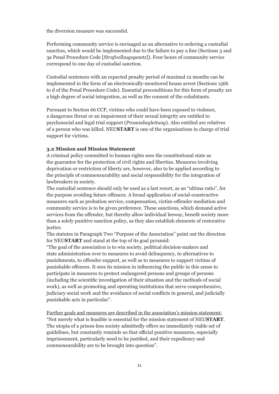the diversion measure was successful.

Performing community service is envisaged as an alternative to ordering a custodial sanction, which would be implemented due to the failure to pay a fine (Sections 3 and 3a Penal Procedure Code [*Strafvollzugsgesetz*]). Four hours of community service correspond to one day of custodial sanction.

Custodial sentences with an expected penalty period of maximal 12 months can be implemented in the form of an electronically-monitored house arrest (Sections 156b to d of the Penal Procedure Code). Essential preconditions for this form of penalty are a high degree of social integration, as well as the consent of the cohabitants.

Pursuant to Section 66 CCP, victims who could have been exposed to violence, a dangerous threat or an impairment of their sexual integrity are entitled to psychosocial and legal trial support (*Prozessbegleitung*). Also entitled are relatives of a person who was killed. NEU**START** is one of the organisations in charge of trial support for victims.

#### **3.2 Mission and Mission Statement**

A criminal policy committed to human rights sees the constitutional state as the guarantor for the protection of civil rights and liberties. Measures involving deprivation or restriction of liberty are, however, also to be applied according to the principle of commensurability and social responsibility for the integration of lawbreakers in society.

The custodial sentence should only be used as a last resort, as an "ultima ratio", for the purpose avoiding future offences. A broad application of social-constructive measures such as probation service, compensation, victim-offender mediation and community service is to be given preference. These sanctions, which demand active services from the offender, but thereby allow individual leeway, benefit society more than a solely punitive sanction policy, as they also establish elements of restorative justice.

The statutes in Paragraph Two "Purpose of the Association" point out the direction for NEU**START** and stand at the top of its goal pyramid:

"The goal of the association is to win society, political decision-makers and state administration over to measures to avoid delinquency, to alternatives to punishments, to offender support, as well as to measures to support victims of punishable offences. It sees its mission in influencing the public in this sense to participate in measures to protect endangered persons and groups of persons (including the scientific investigation of their situation and the methods of social work), as well as promoting and operating institutions that serve comprehensive, judiciary social work and the avoidance of social conflicts in general, and judicially punishable acts in particular".

Further goals and measures are described in the association's mission statement: "Not merely what is feasible is essential for the mission statement of NEU**START**. The utopia of a prison-less society admittedly offers no immediately viable set of guidelines, but constantly reminds us that official punitive measures, especially imprisonment, particularly need to be justified, and their expediency and commensurability are to be brought into question".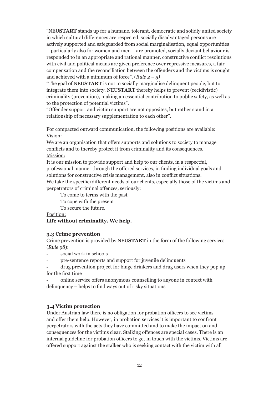"NEU**START** stands up for a humane, tolerant, democratic and solidly united society in which cultural differences are respected, socially disadvantaged persons are actively supported and safeguarded from social marginalisation, equal opportunities – particularly also for women and men – are promoted, socially deviant behaviour is responded to in an appropriate and rational manner, constructive conflict resolutions with civil and political means are given preference over repressive measures, a fair compensation and the reconciliation between the offenders and the victims is sought and achieved with a minimum of force". (*Rule 2 – 5)*

"The goal of NEU**START** is not to socially marginalise delinquent people, but to integrate them into society. NEU**START** thereby helps to prevent (recidivistic) criminality (prevention), making an essential contribution to public safety, as well as to the protection of potential victims".

"Offender support and victim support are not opposites, but rather stand in a relationship of necessary supplementation to each other".

For compacted outward communication, the following positions are available: Vision:

We are an organisation that offers supports and solutions to society to manage conflicts and to thereby protect it from criminality and its consequences. Mission:

It is our mission to provide support and help to our clients, in a respectful, professional manner through the offered services, in finding individual goals and solutions for constructive crisis management, also in conflict situations.

We take the specific/different needs of our clients, especially those of the victims and perpetrators of criminal offences, seriously:

To come to terms with the past

To cope with the present

To secure the future.

Position:

**Life without criminality. We help.**

#### **3.3 Crime prevention**

Crime prevention is provided by NEU**START** in the form of the following services (*Rule 98*):

- social work in schools
- pre-sentence reports and support for juvenile delinquents
- drug prevention project for binge drinkers and drug users when they pop up for the first time

- online service offers anonymous counselling to anyone in context with delinquency – helps to find ways out of risky situations

#### **3.4 Victim protection**

Under Austrian law there is no obligation for probation officers to see victims and offer them help. However, in probation services it is important to confront perpetrators with the acts they have committed and to make the impact on and consequences for the victims clear. Stalking offences are special cases. There is an internal guideline for probation officers to get in touch with the victims. Victims are offered support against the stalker who is seeking contact with the victim with all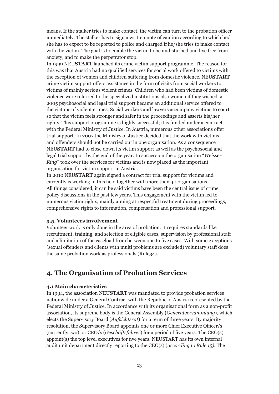means. If the stalker tries to make contact, the victim can turn to the probation officer immediately. The stalker has to sign a written note of caution according to which he/ she has to expect to be reported to police and charged if he/she tries to make contact with the victim. The goal is to enable the victim to be undisturbed and live free from anxiety, and to make the perpetrator stop.

In 1999 NEU**START** launched its crime victim support programme. The reason for this was that Austria had no qualified services for social work offered to victims with the exception of women and children suffering from domestic violence. NEU**START** crime victim support offers assistance in the form of visits from social workers to victims of mainly serious violent crimes. Children who had been victims of domestic violence were referred to the specialized institutions also women if they wished so. 2005 psychosocial and legal trial support became an additional service offered to the victims of violent crimes. Social workers and lawyers accompany victims to court so that the victim feels stronger and safer in the proceedings and asserts his/her rights. This support programme is highly successful; it is funded under a contract with the Federal Ministry of Justice. In Austria, numerous other associations offer trial support. In 2007 the Ministry of Justice decided that the work with victims and offenders should not be carried out in one organisation. As a consequence NEU**START** had to close down its victim support as well as the psychosocial and legal trial support by the end of the year. In succession the organisation "*Weisser Ring*" took over the services for victims and is now placed as the important organisation for victim support in Austria.

In 2010 NEU**START** again signed a contract for trial support for victims and currently is working in this field together with more than 40 organisations. All things considered, it can be said victims have been the central issue of crime policy discussions in the past few years. This engagement with the victim led to numerous victim rights, mainly aiming at respectful treatment during proceedings, comprehensive rights to information, compensation and professional support.

#### **3.5. Volunteers involvement**

Volunteer work is only done in the area of probation. It requires standards like recruitment, training, and selection of eligible cases, supervision by professional staff and a limitation of the caseload from between one to five cases. With some exceptions (sexual offenders and clients with multi problems are excluded) voluntary staff does the same probation work as professionals (Rule34).

## **4. The Organisation of Probation Services**

#### **4.1 Main characteristics**

In 1994, the association NEU**START** was mandated to provide probation services nationwide under a General Contract with the Republic of Austria represented by the Federal Ministry of Justice. In accordance with its organisational form as a non-profit association, its supreme body is the General Assembly (*Generalversammlung*), which elects the Supervisory Board (*Aufsichtsrat*) for a term of three years. By majority resolution, the Supervisory Board appoints one or more Chief Executive Officer/s (currently two), or CEO/s (*Geschäftsführer*) for a period of five years. The CEO(s) appoint(s) the top level executives for five years. NEUSTART has its own internal audit unit department directly reporting to the CEO(s) (*according to Rule 15)*. The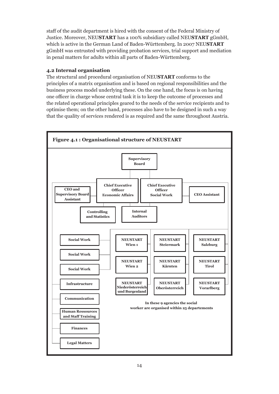staff of the audit department is hired with the consent of the Federal Ministry of Justice. Moreover, NEU**START** has a 100% subsidiary called NEU**START** gGmbH, which is active in the German Land of Baden-Württemberg. In 2007 NEU**START** gGmbH was entrusted with providing probation services, trial support and mediation in penal matters for adults within all parts of Baden-Württemberg.

#### **4.2 Internal organisation**

The structural and procedural organisation of NEU**START** conforms to the principles of a matrix organisation and is based on regional responsibilities and the business process model underlying these. On the one hand, the focus is on having one officer in charge whose central task it is to keep the outcome of processes and the related operational principles geared to the needs of the service recipients and to optimise them; on the other hand, processes also have to be designed in such a way that the quality of services rendered is as required and the same throughout Austria.

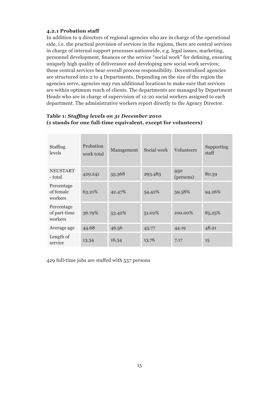#### **4.2.1 Probation staff**

In addition to 9 directors of regional agencies who are in charge of the operational side, i.e. the practical provision of services in the regions, there are central services in charge of internal support processes nationwide, e.g. legal issues, marketing, personnel development, finances or the service "social work" for defining, ensuring uniquely high quality of deliverance and developing new social work services; these central services bear overall process responsibility. Decentralised agencies are structured into 2 to 4 Departments. Depending on the size of the region the agencies serve, agencies may run additional locations to make sure that services are within optimum reach of clients. The departments are managed by Department Heads who are in charge of supervision of 12-20 social workers assigned to each department. The administrative workers report directly to the Agency Director.

| Staffing<br>levels                    | Probation<br>work total | Management | Social work | Volunteers       | Supporting<br>staff |
|---------------------------------------|-------------------------|------------|-------------|------------------|---------------------|
| <b>NEUSTART</b><br>- total            | 429.241                 | 55.368     | 293.483     | 950<br>(persons) | 80.39               |
| Percentage<br>of female<br>workers    | 63.21%                  | 42.47%     | 54.42%      | 59.58%           | 94.26%              |
| Percentage<br>of part-time<br>workers | 36.79%                  | 53.42%     | 51.02%      | 100.00%          | 85.25%              |
| Average age                           | 44.68                   | 46.56      | 43.77       | 44.19            | 48.21               |
| Length of<br>service                  | 13.34                   | 16.34      | 13.76       | 7.17             | 15                  |

#### **Table 1:** *Staffing levels on 31 December 2010* **(1 stands for one full-time equivalent, except for volunteers)**

429 full-time jobs are staffed with 557 persons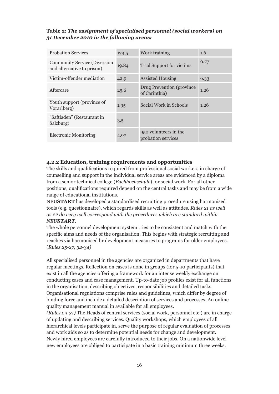#### **Table 2:** *The assignment of specialised personnel (social workers) on 31 December 2010 in the following areas:*

| <b>Probation Services</b>                                         | 179.5 | Work training                               | 1.6  |
|-------------------------------------------------------------------|-------|---------------------------------------------|------|
| <b>Community Service (Diversion</b><br>and alternative to prison) | 19.84 | Trial Support for victims                   | 0.77 |
| Victim-offender mediation                                         | 42.9  | <b>Assisted Housing</b>                     | 6.33 |
| Aftercare                                                         | 25.6  | Drug Prevention (province)<br>of Carinthia) | 1.26 |
| Youth support (province of<br>Vorarlberg)                         | 1.95  | Social Work in Schools                      | 1.26 |
| "Saftladen" (Restaurant in<br>Salzburg)                           | 3.5   |                                             |      |
| <b>Electronic Monitoring</b>                                      | 4.97  | 950 volunteers in the<br>probation services |      |

#### **4.2.2 Education, training requirements and opportunities**

The skills and qualifications required from professional social workers in charge of counselling and support in the individual service areas are evidenced by a diploma from a senior technical college (*Fachhochschule*) for social work. For all other positions, qualifications required depend on the central tasks and may be from a wide range of educational institutions.

NEU**START** has developed a standardised recruiting procedure using harmonised tools (e.g. questionnaire), which regards skills as well as attitudes. *Rules 21 as well as 22 do very well correspond with the procedures which are standard within NEUSTART.*

The whole personnel development system tries to be consistent and match with the specific aims and needs of the organisation. This begins with strategic recruiting and reaches via harmonised hr development measures to programs for older employees. (*Rules 25-27, 32-34)*

All specialised personnel in the agencies are organized in departments that have regular meetings. Reflection on cases is done in groups (for 5-10 participants) that exist in all the agencies offering a framework for an intense weekly exchange on conducting cases and case management. Up-to-date job profiles exist for all functions in the organisation, describing objectives, responsibilities and detailed tasks. Organisational regulations comprise rules and guidelines, which differ by degree of binding force and include a detailed description of services and processes. An online quality management manual in available for all employees.

*(Rules 29-31)* The Heads of central services (social work, personnel etc.) are in charge of updating and describing services. Quality workshops, which employees of all hierarchical levels participate in, serve the purpose of regular evaluation of processes and work aids so as to determine potential needs for change and development. Newly hired employees are carefully introduced to their jobs. On a nationwide level new employees are obliged to participate in a basic training minimum three weeks.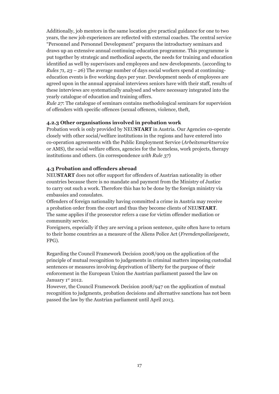Additionally, job mentors in the same location give practical guidance for one to two years, the new job experiences are reflected with external coaches. The central service "Personnel and Personnel Development" prepares the introductory seminars and draws up an extensive annual continuing-education programme. This programme is put together by strategic and methodical aspects, the needs for training and education identified as well by supervisors and employees and new developments. (according to *Rules 71, 23 – 26*) The average number of days social workers spend at continuingeducation events is five working days per year. Development needs of employees are agreed upon in the annual appraisal interviews seniors have with their staff, results of these interviews are systematically analysed and where necessary integrated into the yearly catalogue of education and training offers.

*Rule 27*: The catalogue of seminars contains methodological seminars for supervision of offenders with specific offences (sexual offences, violence, theft,

#### **4.2.3 Other organisations involved in probation work**

Probation work is only provided by NEU**START** in Austria. Our Agencies co-operate closely with other social/welfare institutions in the regions and have entered into co-operation agreements with the Public Employment Service (*Arbeitsmarktservice* or AMS), the social welfare offices, agencies for the homeless, work projects, therapy institutions and others. (in correspondence *with Rule 37*)

#### **4.3 Probation and offenders abroad**

NEU**START** does not offer support for offenders of Austrian nationality in other countries because there is no mandate and payment from the Ministry of Justice to carry out such a work. Therefore this has to be done by the foreign ministry via embassies and consulates.

Offenders of foreign nationality having committed a crime in Austria may receive a probation order from the court and thus they become clients of NEU**START**. The same applies if the prosecutor refers a case for victim offender mediation or community service.

Foreigners, especially if they are serving a prison sentence, quite often have to return to their home countries as a measure of the Aliens Police Act (*Fremdenpolizeigesetz*, FPG).

Regarding the Council Framework Decision 2008/909 on the application of the principle of mutual recognition to judgements in criminal matters imposing custodial sentences or measures involving deprivation of liberty for the purpose of their enforcement in the European Union the Austrian parliament passed the law on January 1st 2012.

However, the Council Framework Decision 2008/947 on the application of mutual recognition to judgments, probation decisions and alternative sanctions has not been passed the law by the Austrian parliament until April 2013.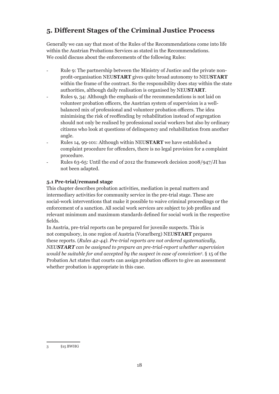## **5. Different Stages of the Criminal Justice Process**

Generally we can say that most of the Rules of the Recommendations come into life within the Austrian Probations Services as stated in the Recommendations. We could discuss about the enforcements of the following Rules:

- Rule 9: The partnership between the Ministry of Justice and the private nonprofit-organisation NEU**START** gives quite broad autonomy to NEU**START** within the frame of the contract. So the responsibility does stay within the state authorities, although daily realisation is organised by NEU**START**.
- Rules 9, 34: Although the emphasis of the recommendations is not laid on volunteer probation officers, the Austrian system of supervision is a wellbalanced mix of professional and volunteer probation officers. The idea minimising the risk of reoffending by rehabilitation instead of segregation should not only be realised by professional social workers but also by ordinary citizens who look at questions of delinquency and rehabilitation from another angle.
- Rules 14, 99-101: Although within NEU**START** we have established a complaint procedure for offenders, there is no legal provision for a complaint procedure.
- Rules 63-65: Until the end of 2012 the framework decision 2008/947/JI has not been adapted.

#### **5.1 Pre-trial/remand stage**

This chapter describes probation activities, mediation in penal matters and intermediary activities for community service in the pre-trial stage. These are social-work interventions that make it possible to waive criminal proceedings or the enforcement of a sanction. All social work services are subject to job profiles and relevant minimum and maximum standards defined for social work in the respective fields.

In Austria, pre-trial reports can be prepared for juvenile suspects. This is not compulsory, in one region of Austria (Vorarlberg) NEU**START** prepares these reports. (*Rules 42-44). Pre-trial reports are not ordered systematically, NEUSTART can be assigned to prepare an pre-trial-report whether supervision would be suitable for and accepted by the suspect in case of conviction3 .* § 15 of the Probation Act states that courts can assign probation officers to give an assessment whether probation is appropriate in this case.

<sup>3 §15</sup> BWHG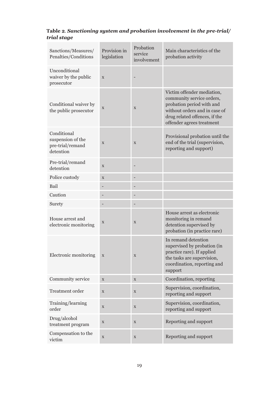| Table 2. Sanctioning system and probation involvement in the pre-trial/ |  |
|-------------------------------------------------------------------------|--|
| trial stage                                                             |  |

| Sanctions/Measures/<br>Penalties/Conditions                       | Provision in<br>legislation | Probation<br>service<br>involvement | Main characteristics of the<br>probation activity                                                                                                                                   |
|-------------------------------------------------------------------|-----------------------------|-------------------------------------|-------------------------------------------------------------------------------------------------------------------------------------------------------------------------------------|
| Unconditional<br>waiver by the public<br>prosecutor               | X                           |                                     |                                                                                                                                                                                     |
| Conditional waiver by<br>the public prosecutor                    | X                           | $\mathbf X$                         | Victim offender mediation,<br>community service orders,<br>probation period with and<br>without orders and in case of<br>drug related offences, if the<br>offender agrees treatment |
| Conditional<br>suspension of the<br>pre-trial/remand<br>detention | X                           | $\mathbf X$                         | Provisional probation until the<br>end of the trial (supervision,<br>reporting and support)                                                                                         |
| Pre-trial/remand<br>detention                                     | $\mathbf X$                 |                                     |                                                                                                                                                                                     |
| Police custody                                                    | $\mathbf X$                 |                                     |                                                                                                                                                                                     |
| Bail                                                              |                             |                                     |                                                                                                                                                                                     |
| Caution                                                           |                             |                                     |                                                                                                                                                                                     |
| Surety                                                            |                             |                                     |                                                                                                                                                                                     |
| House arrest and<br>electronic monitoring                         | X                           | $\mathbf X$                         | House arrest as electronic<br>monitoring in remand<br>detention supervised by<br>probation (in practice rare)                                                                       |
| Electronic monitoring                                             | $\mathbf X$                 | $\mathbf X$                         | In remand detention<br>supervised by probation (in<br>practice rare). If applied<br>the tasks are supervision,<br>coordination, reporting and<br>support                            |
| Community service                                                 | $\mathbf X$                 | $\mathbf X$                         | Coordination, reporting                                                                                                                                                             |
| Treatment order                                                   | $\mathbf X$                 | $\mathbf X$                         | Supervision, coordination,<br>reporting and support                                                                                                                                 |
| Training/learning<br>order                                        | $\mathbf X$                 | $\mathbf X$                         | Supervision, coordination,<br>reporting and support                                                                                                                                 |
| Drug/alcohol<br>treatment program                                 | $\mathbf X$                 | $\mathbf X$                         | Reporting and support                                                                                                                                                               |
| Compensation to the<br>victim                                     | $\mathbf X$                 | $\mathbf X$                         | Reporting and support                                                                                                                                                               |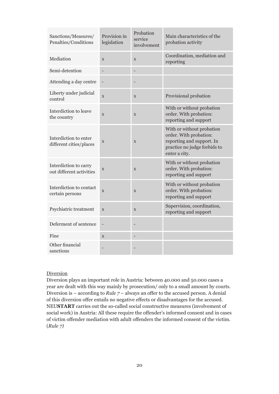| Sanctions/Measures/<br>Penalties/Conditions       | Provision in<br>legislation | Probation<br>service<br>involvement | Main characteristics of the<br>probation activity                                                                                 |
|---------------------------------------------------|-----------------------------|-------------------------------------|-----------------------------------------------------------------------------------------------------------------------------------|
| Mediation                                         | $\mathbf{x}$                | $\mathbf X$                         | Coordination, mediation and<br>reporting                                                                                          |
| Semi-detention                                    |                             |                                     |                                                                                                                                   |
| Attending a day centre                            | $\blacksquare$              |                                     |                                                                                                                                   |
| Liberty under judicial<br>control                 | $\mathbf X$                 | X                                   | Provisional probation                                                                                                             |
| Interdiction to leave<br>the country              | X                           | X                                   | With or without probation<br>order. With probation:<br>reporting and support                                                      |
| Interdiction to enter<br>different cities/places  | $\mathbf X$                 | $\mathbf X$                         | With or without probation<br>order. With probation:<br>reporting and support. In<br>practice no judge forbids to<br>enter a city. |
| Interdiction to carry<br>out different activities | $\mathbf X$                 | X                                   | With or without probation<br>order. With probation:<br>reporting and support                                                      |
| Interdiction to contact<br>certain persons        | X                           | X                                   | With or without probation<br>order. With probation:<br>reporting and support                                                      |
| Psychiatric treatment                             | X                           | X                                   | Supervision, coordination,<br>reporting and support                                                                               |
| Deferment of sentence                             | $\overline{\phantom{a}}$    |                                     |                                                                                                                                   |
| Fine                                              | $\mathbf X$                 |                                     |                                                                                                                                   |
| Other financial<br>sanctions                      |                             |                                     |                                                                                                                                   |

#### **Diversion**

Diversion plays an important role in Austria: between 40.000 and 50.000 cases a year are dealt with this way mainly by prosecution/ only to a small amount by courts. Diversion is – according to *Rule 7* – always an offer to the accused person. A denial of this diversion offer entails no negative effects or disadvantages for the accused. NEU**START** carries out the so-called social constructive measures (involvement of social work) in Austria: All these require the offender's informed consent and in cases of victim offender mediation with adult offenders the informed consent of the victim. (*Rule 7)*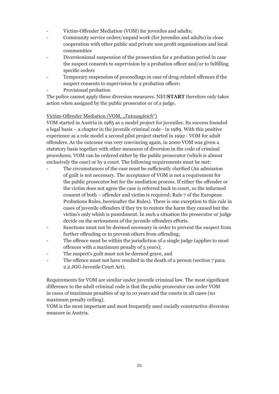- Victim-Offender Mediation (VOM) for juveniles and adults;
- Community service orders/unpaid work (for juveniles and adults) in close cooperation with other public and private non profit organisations and local communities
- Diversionional suspension of the prosecution for a probation period in case the suspect consents to supervision by a probation officer and/or to fulfilling specific orders
- Temporary suspension of proceedings in case of drug-related offences if the suspect consents to supervision by a probation officer;
- Provisional probation

The police cannot apply these diversion measures. NEU**START** therefore only takes action when assigned by the public prosecutor or of a judge.

#### Victim-Offender Mediation (VOM, "*Tatausgleich"*)

VOM started in Austria in 1985 as a model project for juveniles. Its success founded a legal basis – a chapter in the juvenile criminal code - in 1989. With this positive experience as a role model a second pilot project started in 1992 - VOM for adult offenders. As the outcome was very convincing again, in 2000 VOM was given a statutory basis together with other measures of diversion in the code of criminal procedures. VOM can be ordered either by the public prosecutor (which is almost exclusively the case) or by a court. The following requirements must be met:

- The circumstances of the case must be sufficiently clarified (An admission of guilt is not necessary. The acceptance of VOM is not a requirement for the public prosecutor but for the mediation process. If either the offender or the victim does not agree the case is referred back to court, so the informed consent of both – offender and victim is required; Rule 7 of the European Probations Rules, hereinafter the Rules). There is one exception to this rule in cases of juvenile offenders if they try to restore the harm they caused but the victim's only whish is punishment. In such a situation the prosecutor or judge decide on the seriousness of the juvenile offenders efforts.
- Sanctions must not be deemed necessary in order to prevent the suspect from further offending or to prevent others from offending;
- The offence must be within the jurisdiction of a single judge (applies to most offences with a maximum penalty of 5 years);
- The suspect's guilt must not be deemed grave, and
- The offence must not have resulted in the death of a person (section 7 para. 2.2 JGG Juvenile Court Act).

Requirements for VOM are similar under juvenile criminal law. The most significant difference to the adult criminal code is that the pubic prosecutor can order VOM in cases of maximum penalties of up to 10 years and the courts in all cases (no maximum penalty ceiling).

VOM is the most important and most frequently used socially constructive diversion measure in Austria.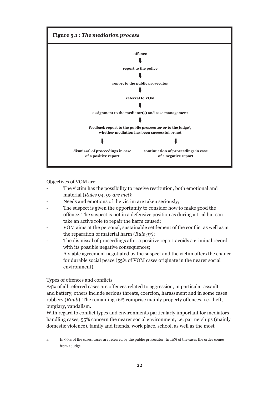

Objectives of VOM are:

- The victim has the possibility to receive restitution, both emotional and material (*Rules 94, 97 are met)*;
- Needs and emotions of the victim are taken seriously;
- The suspect is given the opportunity to consider how to make good the offence. The suspect is not in a defensive position as during a trial but can take an active role to repair the harm caused;
- VOM aims at the personal, sustainable settlement of the conflict as well as at the reparation of material harm (*Rule 97)*;
- The dismissal of proceedings after a positive report avoids a criminal record with its possible negative consequences;
- A viable agreement negotiated by the suspect and the victim offers the chance for durable social peace (55% of VOM cases originate in the nearer social environment).

#### Types of offences and conflicts

84% of all referred cases are offences related to aggression, in particular assault and battery, others include serious threats, coercion, harassment and in some cases robbery (*Raub*). The remaining 16% comprise mainly property offences, i.e. theft, burglary, vandalism.

With regard to conflict types and environments particularly important for mediators handling cases, 55% concern the nearer social environment, i.e. partnerships (mainly domestic violence), family and friends, work place, school, as well as the most

4 In 90% of the cases, cases are referred by the public prosecutor. In 10% of the cases the order comes from a judge.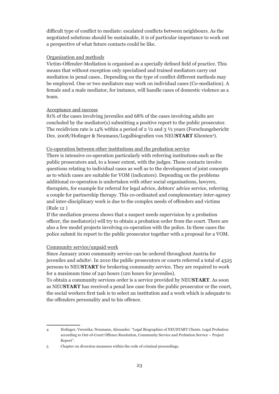difficult type of conflict to mediate: escalated conflicts between neighbours. As the negotiated solutions should be sustainable, it is of particular importance to work out a perspective of what future contacts could be like.

#### Organisation and methods

Victim-Offender-Mediation is organised as a specially defined field of practice. This means that without exception only specialised and trained mediators carry out mediation in penal cases.. Depending on the type of conflict different methods may be employed. One or two mediators may work on individual cases (Co-mediation). A female and a male mediator, for instance, will handle cases of domestic violence as a team.

#### Acceptance and success

81% of the cases involving juveniles and 68% of the cases involving adults are concluded by the mediator(s) submitting a positive report to the public prosecutor. The recidivism rate is 14% within a period of  $2 \frac{1}{2}$  and  $\frac{1}{2}$  years (Forschungsbericht Dez. 2008/Hofinger & Neumann/Legalbiografien von NEU**START** Klienten<sup>4</sup>).

#### Co-operation between other institutions and the probation service

There is intensive co-operation particularly with referring institutions such as the public prosecutors and, to a lesser extent, with the judges. These contacts involve questions relating to individual cases as well as to the development of joint concepts as to which cases are suitable for VOM (indicators). Depending on the problems additional co-operation is undertaken with other social organisations, lawyers, therapists, for example for referral for legal advice, debtors' advice service, referring a couple for partnership therapy. This co-ordinated and complementary inter-agency and inter-disciplinary work is due to the complex needs of offenders and victims (Rule 12 )

If the mediation process shows that a suspect needs supervision by a probation officer, the mediator(s) will try to obtain a probation order from the court. There are also a few model projects involving co-operation with the police. In these cases the police submit its report to the public prosecutor together with a proposal for a VOM.

#### Community service/unpaid work

Since January 2000 community service can be ordered throughout Austria for juveniles and adults5 . In 2010 the public prosecutors or courts referred a total of 4325 persons to NEU**START** for brokering community service. They are required to work for a maximum time of 240 hours (120 hours for juveniles).

To obtain a community services order is a service provided by NEU**START**. As soon as NEU**START** has received a penal law case from the public prosecutor or the court, the social workers first task is to select an institution and a work which is adequate to the offenders personality and to his offence.

<sup>4</sup> Hofinger, Veronika; Neumann, Alexander. "Legal Biographies of NEUSTART Clients. Legal Probation according to Out-of-Court Offence Resolution, Community Service and Probation Service – Project Report".

<sup>5</sup> Chapter on diversion measures within the code of criminal proceedings.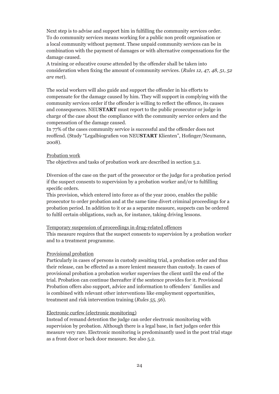Next step is to advise and support him in fulfilling the community services order. To do community services means working for a public non profit organisation or a local community without payment. These unpaid community services can be in combination with the payment of damages or with alternative compensations for the damage caused.

A training or educative course attended by the offender shall be taken into consideration when fixing the amount of community services. (*Rules 12, 47, 48, 51, 52 are met*).

The social workers will also guide and support the offender in his efforts to compensate for the damage caused by him. They will support in complying with the community services order if the offender is willing to reflect the offence, its causes and consequences. NEU**START** must report to the public prosecutor or judge in charge of the case about the compliance with the community service orders and the compensation of the damage caused.

In 77% of the cases community service is successful and the offender does not reoffend. (Study "Legalbiografien von NEU**START** Klienten", Hofinger/Neumann, 2008).

#### Probation work

The objectives and tasks of probation work are described in section 5.2.

Diversion of the case on the part of the prosecutor or the judge for a probation period if the suspect consents to supervision by a probation worker and/or to fulfilling specific orders.

This provision, which entered into force as of the year 2000, enables the public prosecutor to order probation and at the same time divert criminal proceedings for a probation period. In addition to it or as a separate measure, suspects can be ordered to fulfil certain obligations, such as, for instance, taking driving lessons.

#### Temporary suspension of proceedings in drug-related offences

This measure requires that the suspect consents to supervision by a probation worker and to a treatment programme.

#### Provisional probation

Particularly in cases of persons in custody awaiting trial, a probation order and thus their release, can be effected as a more lenient measure than custody. In cases of provisional probation a probation worker supervises the client until the end of the trial. Probation can continue thereafter if the sentence provides for it. Provisional Probation offers also support, advice and information to offenders´ families and is combined with relevant other interventions like employment opportunities, treatment and risk intervention training (*Rules 55, 56*).

#### Electronic curfew (electronic monitoring)

Instead of remand detention the judge can order electronic monitoring with supervision by probation. Although there is a legal base, in fact judges order this measure very rare. Electronic monitoring is predominantly used in the post trial stage as a front door or back door measure. See also 5.2.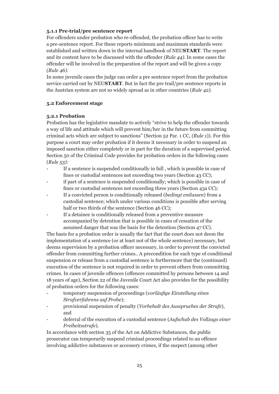#### **5.1.1 Pre-trial/pre sentence report**

For offenders under probation who re-offended, the probation officer has to write a pre-sentence report. For these reports minimum and maximum standards were established and written down in the internal handbook of NEU**START**. The report and its content have to be discussed with the offender *(Rule 44).* In some cases the offender will be involved in the preparation of the report and will be given a copy *(Rule 46).*

In some juvenile cases the judge can order a pre sentence report from the probation service carried out by NEU**START**. But in fact the pre trail/pre sentence reports in the Austrian system are not so widely spread as in other countries (*Rule 42)*.

#### **5.2 Enforcement stage**

#### **5.2.1 Probation**

Probation has the legislative mandate to actively "strive to help the offender towards a way of life and attitude which will prevent him/her in the future from committing criminal acts which are subject to sanctions" (Section 52 Par. 1 CC, *(Rule 1*)). For this purpose a court may order probation if it deems it necessary in order to suspend an imposed sanction either completely or in part for the duration of a supervised period. Section 50 of the Criminal Code provides for probation orders in the following cases (*Rule 53):*

- If a sentence is suspended conditionally in full, which is possible in case of fines or custodial sentences not exceeding two years (Section 43 CC);
- if part of a sentence is suspended conditionally; which is possible in case of fines or custodial sentences not exceeding three years (Section 43a CC);
- If a convicted person is conditionally released (*bedingt entlassen*) from a custodial sentence; which under various conditions is possible after serving half or two thirds of the sentence (Section 46 CC):
- If a detainee is conditionally released from a preventive measure accompanied by detention that is possible in cases of cessation of the assumed danger that was the basis for the detention (Section 47 CC).

The basis for a probation order is usually the fact that the court does not deem the implementation of a sentence (or at least not of the whole sentence) necessary, but deems supervision by a probation officer necessary, in order to prevent the convicted offender from committing further crimes.. A precondition for each type of conditional suspension or release from a custodial sentence is furthermore that the (continued) execution of the sentence is not required in order to prevent others from committing crimes. In cases of juvenile offences (offences committed by persons between 14 and 18 years of age), Section 22 of the Juvenile Court Act also provides for the possibility of probation orders for the following cases:

- temporary suspension of proceedings (*vorläufige Einstellung eines Strafverfahrens auf Probe*);
- provisional suspension of penalty (*Vorbehalt des Ausspruches der Strafe*), and
- deferral of the execution of a custodial sentence (*Aufschub des Vollzugs einer Freiheitsstrafe*).

In accordance with section 35 of the Act on Addictive Substances, the public prosecutor can temporarily suspend criminal proceedings related to an offence involving addictive substances or accessory crimes, if the suspect (among other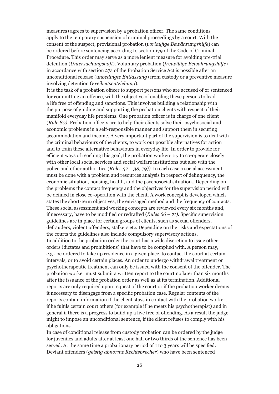measures) agrees to supervision by a probation officer. The same conditions apply to the temporary suspension of criminal proceedings by a court. With the consent of the suspect, provisional probation (*vorläufige Bewährungshilfe*) can be ordered before sentencing according to section 179 of the Code of Criminal Procedure. This order may serve as a more lenient measure for avoiding pre-trial detention (*Untersuchungshaft*). Voluntary probation (*freiwillige Bewährungshilfe*) in accordance with section 27a of the Probation Service Act is possible after an unconditional release (*unbedingte Entlassung*) from custody or a preventive measure involving detention (*Freiheitsentziehung*).

It is the task of a probation officer to support persons who are accused of or sentenced for committing an offence, with the objective of enabling these persons to lead a life free of offending and sanctions. This involves building a relationship with the purpose of guiding and supporting the probation clients with respect of their manifold everyday life problems. One probation officer is in charge of one client (*Rule 80).* Probation officers are to help their clients solve their psychosocial and economic problems in a self-responsible manner and support them in securing accommodation and income. A very important part of the supervision is to deal with the criminal behaviours of the clients, to work out possible alternatives for action and to train these alternative behaviours in everyday life. In order to provide for efficient ways of reaching this goal, the probation workers try to co-operate closely with other local social services and social welfare institutions but also with the police and other authorities (*Rules 37 – 38, 79)).* In each case a social assessment must be done with a problem and resources analysis in respect of delinquency, the economic situation, housing, health, and the psychosocial situation.. Depending on the problems the contact frequency and the objectives for the supervision period will be defined in close co-operation with the client. A work concept is developed which states the short-term objectives, the envisaged method and the frequency of contacts. These social assessment and working concepts are reviewed every six months and, if necessary, have to be modified or redrafted (*Rules 66 – 71)*. Specific supervision guidelines are in place for certain groups of clients, such as sexual offenders, defrauders, violent offenders, stalkers etc. Depending on the risks and expectations of the courts the guidelines also include compulsory supervisory actions. In addition to the probation order the court has a wide discretion to issue other orders (dictates and prohibitions) that have to be complied with. A person may, e.g., be ordered to take up residence in a given place, to contact the court at certain intervals, or to avoid certain places. An order to undergo withdrawal treatment or psychotherapeutic treatment can only be issued with the consent of the offender. The probation worker must submit a written report to the court no later than six months after the issuance of the probation order as well as at its termination. Additional reports are only required upon request of the court or if the probation worker deems it necessary to disengage from a specific probation case. Regular contents of the reports contain information if the client stays in contact with the probation worker, if he fulfils certain court others (for example if he meets his psychotherapist) and in general if there is a progress to build up a live free of offending. As a result the judge might to impose an unconditional sentence, if the client refuses to comply with his obligations.

In case of conditional release from custody probation can be ordered by the judge for juveniles and adults after at least one half or two thirds of the sentence has been served. At the same time a probationary period of 1 to 3 years will be specified. Deviant offenders (*geistig abnorme Rechtsbrecher*) who have been sentenced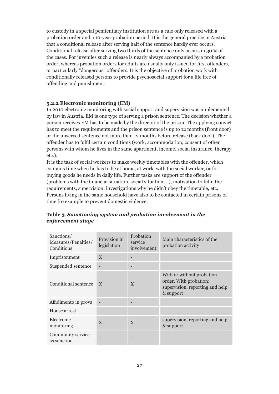to custody in a special penitentiary institution are as a rule only released with a probation order and a 10-year probation period. It is the general practice in Austria that a conditional release after serving half of the sentence hardly ever occurs. Conditional release after serving two thirds of the sentence only occurs in 30 % of the cases. For juveniles such a release is nearly always accompanied by a probation order, whereas probation orders for adults are usually only issued for first offenders, or particularly "dangerous" offenders. It is the objective of probation work with conditionally released persons to provide psychosocial support for a life free of offending and punishment.

#### **5.2.2 Electronic monitoring (EM)**

In 2010 electronic monitoring with social support and supervision was implemented by law in Austria. EM is one type of serving a prison sentence. The decision whether a person receives EM has to be made by the director of the prison. The applying convict has to meet the requirements and the prison sentence is up to 12 months (front door) or the unserved sentence not more than 12 months before release (back door). The offender has to fulfil certain conditions (work, accommodation, consent of other persons with whom he lives in the same apartment, income, social insurance, therapy etc.).

It is the task of social workers to make weekly timetables with the offender, which contains time when he has to be at home, at work, with the social worker, or for buying goods he needs in daily life. Further tasks are support of the offender (problems with the financial situation, social situation,…), motivation to fulfil the requirements, supervision, investigations why he didn't obey the timetable, etc. Persons living in the same household have also to be contacted in certain prisons of time fro example to prevent domestic violence.

| Sanctions/<br>Measures/Penalties/<br>Conditions | Provision in<br>legislation | Probation<br>service<br>involvement | Main characteristics of the<br>probation activity                                                   |
|-------------------------------------------------|-----------------------------|-------------------------------------|-----------------------------------------------------------------------------------------------------|
| Imprisonment                                    | $\mathbf{X}$                |                                     |                                                                                                     |
| Suspended sentence                              |                             |                                     |                                                                                                     |
| Conditional sentence                            | $\mathbf{X}$                | $\mathbf{X}$                        | With or without probation<br>order. With probation:<br>supervision, reporting and help<br>& support |
| Affidimento in prova                            |                             |                                     |                                                                                                     |
| House arrest                                    |                             |                                     |                                                                                                     |
| Electronic<br>monitoring                        | $\mathbf{X}$                | $\mathbf{X}$                        | supervision, reporting and help<br>& support                                                        |
| Community service<br>as sanction                |                             |                                     |                                                                                                     |

#### **Table 3***. Sanctioning system and probation involvement in the enforcement stage*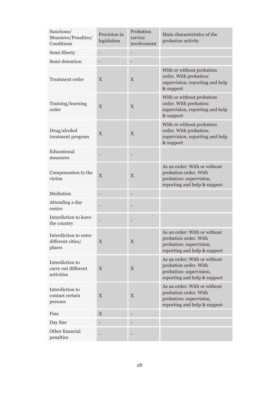| Sanctions/<br>Measures/Penalties/<br>Conditions      | Provision in<br>legislation | Probation<br>service<br>involvement | Main characteristics of the<br>probation activity                                                                |
|------------------------------------------------------|-----------------------------|-------------------------------------|------------------------------------------------------------------------------------------------------------------|
| Semi-liberty                                         |                             |                                     |                                                                                                                  |
| Semi-detention                                       |                             |                                     |                                                                                                                  |
| <b>Treatment order</b>                               | X                           | X                                   | With or without probation<br>order. With probation:<br>supervision, reporting and help<br>& support              |
| Training/learning<br>order                           | $\overline{X}$              | X                                   | With or without probation<br>order. With probation:<br>supervision, reporting and help<br>& support              |
| Drug/alcohol<br>treatment program                    | X                           | $\mathbf X$                         | With or without probation<br>order. With probation:<br>supervision, reporting and help<br>& support              |
| Educational<br>measures                              |                             |                                     |                                                                                                                  |
| Compensation to the<br>victim                        | X                           | $\mathbf X$                         | As an order: With or without<br>probation order. With<br>probation: supervision,<br>reporting and help & support |
| Mediation                                            |                             |                                     |                                                                                                                  |
| Attending a day<br>centre                            |                             |                                     |                                                                                                                  |
| Interdiction to leave<br>the country                 |                             |                                     |                                                                                                                  |
| Interdiction to enter<br>different cities/<br>places | X                           | X                                   | As an order: With or without<br>probation order. With<br>probation: supervision,<br>reporting and help & support |
| Interdiction to<br>carry out different<br>activities | X                           | $\mathbf X$                         | As an order: With or without<br>probation order. With<br>probation: supervision,<br>reporting and help & support |
| Interdiction to<br>contact certain<br>persons        | X                           | X                                   | As an order: With or without<br>probation order. With<br>probation: supervision,<br>reporting and help & support |
| Fine                                                 | $\mathbf X$                 |                                     |                                                                                                                  |
| Day fine                                             |                             |                                     |                                                                                                                  |
| Other financial<br>penalties                         |                             |                                     |                                                                                                                  |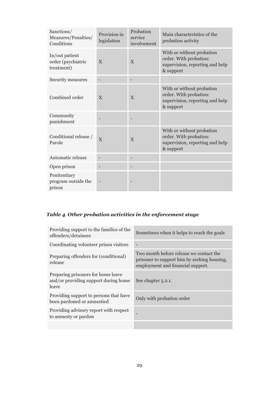| Sanctions/<br>Measures/Penalties/<br>Conditions    | Provision in<br>legislation | Probation<br>service<br>involvement | Main characteristics of the<br>probation activity                                                   |
|----------------------------------------------------|-----------------------------|-------------------------------------|-----------------------------------------------------------------------------------------------------|
| In/out patient<br>order (psychiatric<br>treatment) | $\mathbf{X}$                | $\mathbf{X}$                        | With or without probation<br>order. With probation:<br>supervision, reporting and help<br>& support |
| Security measures                                  |                             |                                     |                                                                                                     |
| Combined order                                     | $\mathbf{X}$                | X                                   | With or without probation<br>order. With probation:<br>supervision, reporting and help<br>& support |
| Community<br>punishment                            |                             |                                     |                                                                                                     |
| Conditional release /<br>Parole                    | $\overline{X}$              | $\mathbf{X}$                        | With or without probation<br>order. With probation:<br>supervision, reporting and help<br>& support |
| Automatic release                                  |                             |                                     |                                                                                                     |
| Open prison                                        |                             |                                     |                                                                                                     |
| Penitentiary<br>program outside the<br>prison      |                             |                                     |                                                                                                     |

## *Table 4. Other probation activities in the enforcement stage*

| Providing support to the families of the<br>offenders/detainees                     | Sometimes when it helps to reach the goals                                                                                  |
|-------------------------------------------------------------------------------------|-----------------------------------------------------------------------------------------------------------------------------|
| Coordinating volunteer prison visitors                                              |                                                                                                                             |
| Preparing offenders for (conditional)<br>release                                    | Two month before release we contact the<br>prisoner to support him by seeking housing,<br>employment and financial support. |
| Preparing prisoners for home leave<br>and/or providing support during home<br>leave | See chapter 5.2.1.                                                                                                          |
| Providing support to persons that have<br>been pardoned or amnestied                | Only with probation order                                                                                                   |
| Providing advisory report with respect<br>to amnesty or pardon                      |                                                                                                                             |
|                                                                                     |                                                                                                                             |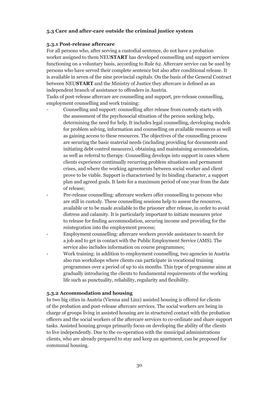#### **5.3 Care and after-care outside the criminal justice system**

#### **5.3.1 Post-release aftercare**

For all persons who, after serving a custodial sentence, do not have a probation worker assigned to them NEU**START** has developed counselling and support services functioning on a voluntary basis, according to Rule 62. Aftercare service can be used by persons who have served their complete sentence but also after conditional release. It is available in seven of the nine provincial capitals. On the basis of the General Contract between NEU**START** and the Ministry of Justice they aftercare is defined as an independent branch of assistance to offenders in Austria.

Tasks of post-release aftercare are counselling and support, pre-release counselling, employment counselling and work training:

- Counselling and support: counselling after release from custody starts with the assessment of the psychosocial situation of the person seeking help, determining the need for help. It includes legal counselling, developing models for problem solving, information and counselling on available resources as well as gaining access to these resources. The objectives of the counselling process are securing the basic material needs (including providing for documents and initiating debt control measures), obtaining and maintaining accommodation, as well as referral to therapy. Counselling develops into support in cases where clients experience continually recurring problem situations and permanent crises, and where the working agreements between social worker and client prove to be viable. Support is characterised by its binding character, a support plan and agreed goals. It lasts for a maximum period of one year from the date of release;
- Pre-release counselling: aftercare workers offer counselling to persons who are still in custody. These counselling sessions help to assess the resources, available or to be made available to the prisoner after release, in order to avoid distress and calamity. It is particularly important to initiate measures prior to release for finding accommodation, securing income and providing for the reintegration into the employment process;
- Employment counselling: aftercare workers provide assistance to search for a job and to get in contact with the Public Employment Service (AMS). The service also includes information on course programmes;
- Work training: in addition to employment counselling, two agencies in Austria also run workshops where clients can participate in vocational training programmes over a period of up to six months. This type of programme aims at gradually introducing the clients to fundamental requirements of the working life such as punctuality, reliability, regularity and flexibility.

#### **5.3.2 Accommodation and housing**

In two big cities in Austria (Vienna and Linz) assisted housing is offered for clients of the probation and post-release aftercare services. The social workers are being in charge of groups living in assisted housing are in structured contact with the probation officers and the social workers of the aftercare services to co-ordinate and share support tasks. Assisted housing groups primarily focus on developing the ability of the clients to live independently. Due to the co-operation with the municipal administrations clients, who are already prepared to stay and keep an apartment, can be proposed for communal housing.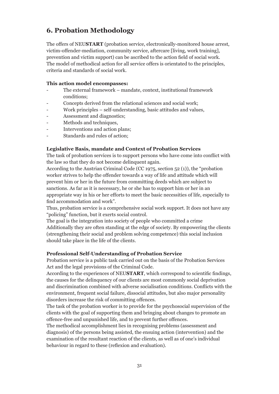## **6. Probation Methodology**

The offers of NEU**START** (probation service, electronically-monitored house arrest, victim-offender-mediation, community service, aftercare [living, work training], prevention and victim support) can be ascribed to the action field of social work. The model of methodical action for all service offers is orientated to the principles, criteria and standards of social work.

#### **This action model encompasses:**

- The external framework mandate, context, institutional framework conditions;
- Concepts derived from the relational sciences and social work;
- Work principles self-understanding, basic attitudes and values,
- Assessment and diagnostics;
- Methods and techniques,
- Interventions and action plans;
- Standards and rules of action;

#### **Legislative Basis, mandate and Context of Probation Services**

The task of probation services is to support persons who have come into conflict with the law so that they do not become delinquent again.

According to the Austrian Criminal Code (CC 1975, section 52 (1)), the "probation worker strives to help the offender towards a way of life and attitude which will prevent him or her in the future from committing deeds which are subject to sanctions. As far as it is necessary, he or she has to support him or her in an appropriate way in his or her efforts to meet the basic necessities of life, especially to find accommodation and work".

Thus, probation service is a comprehensive social work support. It does not have any "policing" function, but it exerts social control.

The goal is the integration into society of people who committed a crime Additionally they are often standing at the edge of society. By empowering the clients (strengthening their social and problem solving competence) this social inclusion should take place in the life of the clients.

#### **Professional Self-Understanding of Probation Service**

Probation service is a public task carried out on the basis of the Probation Services Act and the legal provisions of the Criminal Code.

According to the experiences of NEU**START**, which correspond to scientific findings, the causes for the delinquency of our clients are most commonly social deprivation and discrimination combined with adverse socialisation conditions. Conflicts with the environment, frequent social failure, dissocial attitudes, but also major personality disorders increase the risk of committing offences.

The task of the probation worker is to provide for the psychosocial supervision of the clients with the goal of supporting them and bringing about changes to promote an offence-free and unpunished life, and to prevent further offences.

The methodical accomplishment lies in recognising problems (assessment and diagnosis) of the persons being assisted, the ensuing action (intervention) and the examination of the resultant reaction of the clients, as well as of one's individual behaviour in regard to these (reflexion and evaluation).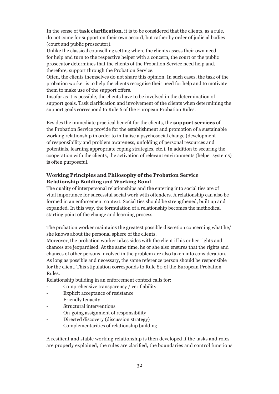In the sense of **task clarification**, it is to be considered that the clients, as a rule, do not come for support on their own accord, but rather by order of judicial bodies (court and public prosecutor).

Unlike the classical counselling setting where the clients assess their own need for help and turn to the respective helper with a concern, the court or the public prosecutor determines that the clients of the Probation Service need help and, therefore, support through the Probation Service.

Often, the clients themselves do not share this opinion. In such cases, the task of the probation worker is to help the clients recognise their need for help and to motivate them to make use of the support offers.

Insofar as it is possible, the clients have to be involved in the determination of support goals. Task clarification and involvement of the clients when determining the support goals correspond to Rule 6 of the European Probation Rules.

Besides the immediate practical benefit for the clients, the **support services** of the Probation Service provide for the establishment and promotion of a sustainable working relationship in order to initialise a psychosocial change (development of responsibility and problem awareness, unfolding of personal resources and potentials, learning appropriate coping strategies, etc.). In addition to securing the cooperation with the clients, the activation of relevant environments (helper systems) is often purposeful.

#### **Working Principles and Philosophy of the Probation Service Relationship Building and Working Bond**

The quality of interpersonal relationships and the entering into social ties are of vital importance for successful social work with offenders. A relationship can also be formed in an enforcement context. Social ties should be strengthened, built up and expanded. In this way, the formulation of a relationship becomes the methodical starting point of the change and learning process.

The probation worker maintains the greatest possible discretion concerning what he/ she knows about the personal sphere of the clients.

Moreover, the probation worker takes sides with the client if his or her rights and chances are jeopardised. At the same time, he or she also ensures that the rights and chances of other persons involved in the problem are also taken into consideration. As long as possible and necessary, the same reference person should be responsible for the client. This stipulation corresponds to Rule 80 of the European Probation Rules.

Relationship building in an enforcement context calls for:

- Comprehensive transparency / verifiability
- Explicit acceptance of resistance
- Friendly tenacity
- Structural interventions
- On-going assignment of responsibility
- Directed discovery (discussion strategy)
- Complementarities of relationship building

A resilient and stable working relationship is then developed if the tasks and roles are properly explained, the rules are clarified, the boundaries and control functions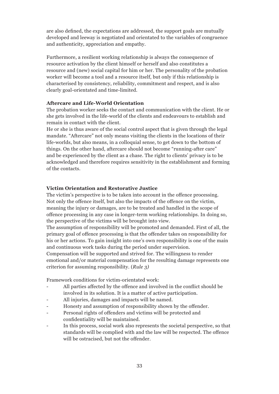are also defined, the expectations are addressed, the support goals are mutually developed and leeway is negotiated and orientated to the variables of congruence and authenticity, appreciation and empathy.

Furthermore, a resilient working relationship is always the consequence of resource activation by the client himself or herself and also constitutes a resource and (new) social capital for him or her. The personality of the probation worker will become a tool and a resource itself, but only if this relationship is characterised by consistency, reliability, commitment and respect, and is also clearly goal-orientated and time-limited.

#### **Aftercare and Life-World Orientation**

The probation worker seeks the contact and communication with the client. He or she gets involved in the life-world of the clients and endeavours to establish and remain in contact with the client.

He or she is thus aware of the social control aspect that is given through the legal mandate. "Aftercare" not only means visiting the clients in the locations of their life-worlds, but also means, in a colloquial sense, to get down to the bottom of things. On the other hand, aftercare should not become "running-after care" and be experienced by the client as a chase. The right to clients' privacy is to be acknowledged and therefore requires sensitivity in the establishment and forming of the contacts.

#### **Victim Orientation and Restorative Justice**

The victim's perspective is to be taken into account in the offence processing. Not only the offence itself, but also the impacts of the offence on the victim, meaning the injury or damages, are to be treated and handled in the scope of offence processing in any case in longer-term working relationships. In doing so, the perspective of the victims will be brought into view.

The assumption of responsibility will be promoted and demanded. First of all, the primary goal of offence processing is that the offender takes on responsibility for his or her actions. To gain insight into one's own responsibility is one of the main and continuous work tasks during the period under supervision.

Compensation will be supported and strived for. The willingness to render emotional and/or material compensation for the resulting damage represents one criterion for assuming responsibility. (*Rule 3)*

Framework conditions for victim-orientated work:

- All parties affected by the offence and involved in the conflict should be involved in its solution. It is a matter of active participation.
- All injuries, damages and impacts will be named.
- Honesty and assumption of responsibility shown by the offender.
- Personal rights of offenders and victims will be protected and confidentiality will be maintained.
- In this process, social work also represents the societal perspective, so that standards will be complied with and the law will be respected. The offence will be ostracised, but not the offender.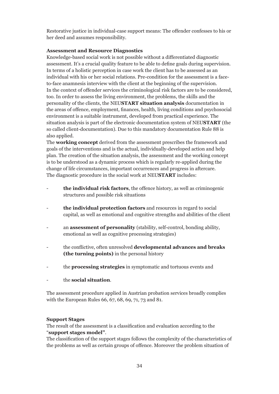Restorative justice in individual-case support means: The offender confesses to his or her deed and assumes responsibility.

#### **Assessment and Resource Diagnostics**

Knowledge-based social work is not possible without a differentiated diagnostic assessment. It's a crucial quality feature to be able to define goals during supervision. In terms of a holistic perception in case work the client has to be assessed as an individual with his or her social relations. Pre-condition for the assessment is a faceto-face anamnesis interview with the client at the beginning of the supervision. In the context of offender services the criminological risk factors are to be considered, too. In order to assess the living environment, the problems, the skills and the personality of the clients, the NEU**START situation analysis** documentation in the areas of offence, employment, finances, health, living conditions and psychosocial environment is a suitable instrument, developed from practical experience. The situation analysis is part of the electronic documentation system of NEU**START** (the so called client-documentation). Due to this mandatory documentation Rule 88 is also applied.

The **working concept** derived from the assessment prescribes the framework and goals of the interventions and is the actual, individually-developed action and help plan. The creation of the situation analysis, the assessment and the working concept is to be understood as a dynamic process which is regularly re-applied during the change of life circumstances, important occurrences and progress in aftercare. The diagnostic procedure in the social work at NEU**START** includes:

- the individual risk factors, the offence history, as well as criminogenic structures and possible risk situations
- **the individual protection factors** and resources in regard to social capital, as well as emotional and cognitive strengths and abilities of the client
- an **assessment of personality** (stability, self-control, bonding ability, emotional as well as cognitive processing strategies)
- the conflictive, often unresolved **developmental advances and breaks (the turning points)** in the personal history
- the **processing strategies** in symptomatic and tortuous events and
- the **social situation**.

The assessment procedure applied in Austrian probation services broadly complies with the European Rules 66, 67, 68, 69, 71, 73 and 81.

#### **Support Stages**

The result of the assessment is a classification and evaluation according to the "**support stages model"**.

The classification of the support stages follows the complexity of the characteristics of the problems as well as certain groups of offence. Moreover the problem situation of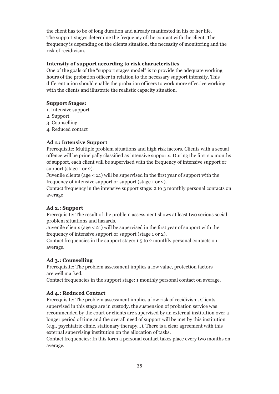the client has to be of long duration and already manifested in his or her life. The support stages determine the frequency of the contact with the client. The frequency is depending on the clients situation, the necessity of monitoring and the risk of recidivism.

#### **Intensity of support according to risk characteristics**

One of the goals of the "support stages model" is to provide the adequate working hours of the probation officer in relation to the necessary support intensity. This differentiation should enable the probation officers to work more effective working with the clients and illustrate the realistic capacity situation.

#### **Support Stages:**

- 1. Intensive support
- 2. Support
- 3. Counselling
- 4. Reduced contact

#### **Ad 1.: Intensive Support**

Prerequisite: Multiple problem situations and high risk factors. Clients with a sexual offence will be principally classified as intensive supports. During the first six months of support, each client will be supervised with the frequency of intensive support or support (stage 1 or 2).

Juvenile clients (age < 21) will be supervised in the first year of support with the frequency of intensive support or support (stage 1 or 2).

Contact frequency in the intensive support stage: 2 to 3 monthly personal contacts on average

#### **Ad 2.: Support**

Prerequisite: The result of the problem assessment shows at least two serious social problem situations and hazards.

Juvenile clients (age < 21) will be supervised in the first year of support with the frequency of intensive support or support (stage 1 or 2).

Contact frequencies in the support stage: 1.5 to 2 monthly personal contacts on average.

#### **Ad 3.: Counselling**

Prerequisite: The problem assessment implies a low value, protection factors are well marked.

Contact frequencies in the support stage: 1 monthly personal contact on average.

#### **Ad 4.: Reduced Contact**

Prerequisite: The problem assessment implies a low risk of recidivism. Clients supervised in this stage are in custody, the suspension of probation service was recommended by the court or clients are supervised by an external institution over a longer period of time and the overall need of support will be met by this institution (e.g., psychiatric clinic, stationary therapy…). There is a clear agreement with this external supervising institution on the allocation of tasks.

Contact frequencies: In this form a personal contact takes place every two months on average.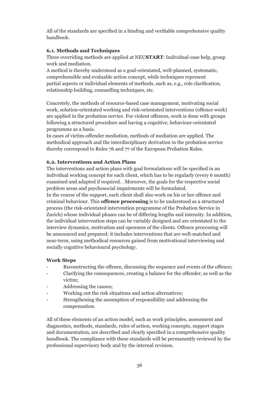All of the standards are specified in a binding and verifiable comprehensive quality handbook.

#### **6.1. Methods and Techniques**

Three overriding methods are applied at NEU**START**: Individual-case help, group work and mediation.

A method is thereby understood as a goal-orientated, well-planned, systematic, comprehensible and evaluable action concept, while techniques represent partial aspects or individual elements of methods, such as, e.g., role clarification, relationship building, counselling techniques, etc.

Concretely, the methods of resource-based case management, motivating social work, solution-orientated working and risk-orientated interventions (offence work) are applied in the probation service. For violent offences, work is done with groups following a structured procedure and having a cognitive, behaviour-orientated programme as a basis.

In cases of victim-offender mediation, methods of mediation are applied. The methodical approach and the interdisciplinary derivation in the probation service thereby correspond to Rules 76 and 77 of the European Probation Rules.

#### **6.2. Interventions and Action Plans**

The interventions and action plans with goal formulations will be specified in an individual working concept for each client, which has to be regularly (every 6 month) examined and adapted if required. . Moreover, the goals for the respective social problem areas and psychosocial impairments will be formulated.

In the course of the support, each client shall also work on his or her offence and criminal behaviour. This **offence processing** is to be understood as a structured process (the risk-orientated intervention programme of the Probation Service in Zurich) whose individual phases can be of differing lengths and intensity. In addition, the individual intervention steps can be variably designed and are orientated to the interview dynamics, motivation and openness of the clients. Offence processing will be announced and prepared; it includes interventions that are well-matched and near-term, using methodical resources gained from motivational interviewing and socially cognitive behavioural psychology.

#### **Work Steps**

- Reconstructing the offence, discussing the sequence and events of the offence;
- Clarifying the consequences, creating a balance for the offender, as well as the victim;
- Addressing the causes;
- Working out the risk situations and action alternatives;
- Strengthening the assumption of responsibility and addressing the compensation.

All of these elements of an action model, such as work principles, assessment and diagnostics, methods, standards, rules of action, working concepts, support stages and documentation, are described and clearly specified in a comprehensive quality handbook. The compliance with these standards will be permanently reviewed by the professional supervisory body and by the internal revision.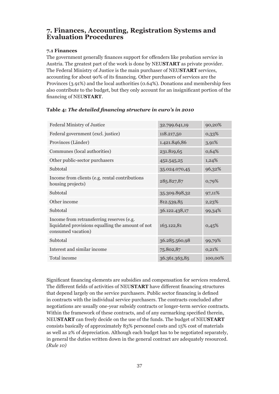## **7. Finances, Accounting, Registration Systems and Evaluation Procedures**

#### **7.1 Finances**

The government generally finances support for offenders like probation service in Austria. The greatest part of the work is done by NEU**START** as private provider. The Federal Ministry of Justice is the main purchaser of NEU**START** services, accounting for about 90% of its financing. Other purchasers of services are the Provinces (3.91%) and the local authorities (0.64%). Donations and membership fees also contribute to the budget, but they only account for an insignificant portion of the financing of NEU**START**.

| Federal Ministry of Justice                                                                                          | 32.799.641,19 | 90,20%  |
|----------------------------------------------------------------------------------------------------------------------|---------------|---------|
| Federal government (excl. justice)                                                                                   | 118.217,50    | 0,33%   |
| Provinces (Länder)                                                                                                   | 1.421.846,86  | 3,91%   |
| Communes (local authorities)                                                                                         | 231.819,65    | 0,64%   |
| Other public-sector purchasers                                                                                       | 452.545,25    | 1,24%   |
| Subtotal                                                                                                             | 35.024.070,45 | 96,32%  |
| Income from clients (e.g. rental contributions<br>housing projects)                                                  | 285.827,87    | 0,79%   |
| Subtotal                                                                                                             | 35.309.898,32 | 97,11%  |
| Other income                                                                                                         | 812.539,85    | 2,23%   |
| Subtotal                                                                                                             | 36.122.438,17 | 99,34%  |
| Income from retransferring reserves (e.g.<br>liquidated provisions equalling the amount of not<br>consumed vacation) | 163.122,81    | 0,45%   |
| Subtotal                                                                                                             | 36.285.560,98 | 99,79%  |
| Interest and similar income                                                                                          | 75.802,87     | 0,21%   |
| Total income                                                                                                         | 36.361.363,85 | 100,00% |

#### **Table 4:** *The detailed financing structure in euro's in 2010*

Significant financing elements are subsidies and compensation for services rendered. The different fields of activities of NEU**START** have different financing structures that depend largely on the service purchasers. Public sector financing is defined in contracts with the individual service purchasers. The contracts concluded after negotiations are usually one-year subsidy contracts or longer-term service contracts. Within the framework of these contracts, and of any earmarking specified therein, NEU**START** can freely decide on the use of the funds. The budget of NEU**START** consists basically of approximately 83% personnel costs and 15% cost of materials as well as 2% of depreciation. Although each budget has to be negotiated separately, in general the duties written down in the general contract are adequately resourced. *(Rule 10)*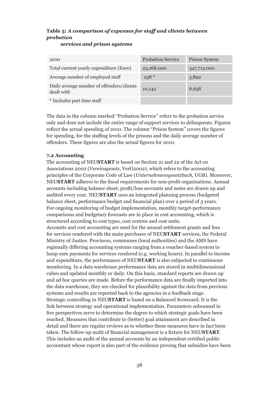## **Table 5:** *A comparison of expenses for staff and clients between probation*

|  | services and prison systems |
|--|-----------------------------|
|  |                             |

| 2010                                                    | <b>Probation Service</b> | <b>Prison System</b> |
|---------------------------------------------------------|--------------------------|----------------------|
| Total current yearly expenditure (Euro)                 | 23,168,000               | 347,713.000          |
| Average number of employed staff                        | $238*$                   | 3,892                |
| Daily average number of offenders/clients<br>dealt with | 10,142                   | 8,658                |
| * Includes part time staff                              |                          |                      |

The data in the column marked "Probation Service" refers to the probation service only and does not include the entire range of support services to delinquents. Figures reflect the actual spending of 2010. The column "Prison System" covers the figures for spending, for the staffing levels of the prisons and the daily average number of offenders. These figures are also the actual figures for 2010.

#### **7.2 Accounting**

The accounting of NEU**START** is based on Section 21 and 22 of the Act on Associations 2002 (*Vereinsgesetz*, VerG2002), which refers to the accounting principles of the Corporate Code of Law (*Unternehmensgesetzbuch*, UGB). Moreover, NEU**START** adheres to the fiscal requirements for non-profit organisations. Annual accounts including balance sheet, profit/loss accounts and notes are drawn up and audited every year. NEU**START** uses an integrated planning process (budgeted balance sheet, performance budget and financial plan) over a period of 3 years. For ongoing monitoring of budget implementation, monthly target-performance comparisons and budgetary forecasts are in place in cost accounting, which is structured according to cost types, cost centres and cost units.

Accounts and cost accounting are used for the annual settlement grants and fees for services rendered with the main purchaser of NEU**START** services, the Federal Ministry of Justice. Provinces, communes (local authorities) and the AMS have regionally differing accounting systems ranging from a voucher-based system to lump sum payments for services rendered (e.g. working hours). In parallel to income and expenditure, the performance of NEU**START** is also subjected to continuous monitoring. In a data warehouse performance data are stored in multidimensional cubes and updated monthly or daily. On this basis, standard reports are drawn up and ad hoc queries are made. Before the performance data are finally imported into the data warehouse, they are checked for plausibility against the data from previous systems and results are reported back to the agencies in a feedback stage. Strategic controlling in NEU**START** is based on a Balanced Scorecard. It is the link between strategy and operational implementation. Parameters subsumed in five perspectives serve to determine the degree to which strategic goals have been reached. Measures that contribute to (better) goal attainment are described in detail and there are regular reviews as to whether these measures have in fact been taken. The follow-up audit of financial management is a fixture for NEU**START**. This includes an audit of the annual accounts by an independent certified public accountant whose report is also part of the evidence proving that subsidies have been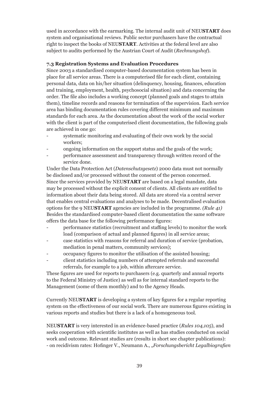used in accordance with the earmarking. The internal audit unit of NEU**START** does system and organisational reviews. Public sector purchasers have the contractual right to inspect the books of NEU**START**. Activities at the federal level are also subject to audits performed by the Austrian Court of Audit (*Rechnungshof*).

#### **7.3 Registration Systems and Evaluation Procedures**

Since 2003 a standardised computer-based documentation system has been in place for all service areas. There is a computerised file for each client, containing personal data, data on his/her situation (delinquency, housing, finances, education and training, employment, health, psychosocial situation) and data concerning the order. The file also includes a working concept (planned goals and stages to attain them), timeline records and reasons for termination of the supervision. Each service area has binding documentation rules covering different minimum and maximum standards for each area. As the documentation about the work of the social worker with the client is part of the computerised client documentation, the following goals are achieved in one go:

- systematic monitoring and evaluating of their own work by the social workers;
- ongoing information on the support status and the goals of the work;
- performance assessment and transparency through written record of the service done.

Under the Data Protection Act (*Datenschutzgesetz*) 2000 data must not normally be disclosed and/or processed without the consent of the person concerned. Since the services provided by NEU**START** are based on a legal mandate, data may be processed without the explicit consent of clients. All clients are entitled to information about their data being stored. All data are stored via a central server that enables central evaluations and analyses to be made. Decentralised evaluation options for the 9 NEU**START** agencies are included in the programme. *(Rule 41)* Besides the standardised computer-based client documentation the same software offers the data base for the following performance figures:

- performance statistics (recruitment and staffing levels) to monitor the work load (comparison of actual and planned figures) in all service areas;
- case statistics with reasons for referral and duration of service (probation, mediation in penal matters, community services);
- occupancy figures to monitor the utilisation of the assisted housing;
- client statistics including numbers of attempted referrals and successful referrals, for example to a job, within aftercare service.

These figures are used for reports to purchasers (e.g. quarterly and annual reports to the Federal Ministry of Justice) as well as for internal standard reports to the Management (some of them monthly) and to the Agency Heads.

Currently NEU**START** is developing a system of key figures for a regular reporting system on the effectiveness of our social work. There are numerous figures existing in various reports and studies but there is a lack of a homogeneous tool.

NEU**START** is very interested in an evidence-based practice (*Rules 104,105*), and seeks cooperation with scientific institutes as well as has studies conducted on social work and outcome. Relevant studies are (results in short see chapter publications): - on recidivism rates: Hofinger V., Neumann A., "*Forschungsbericht Legalbiografien*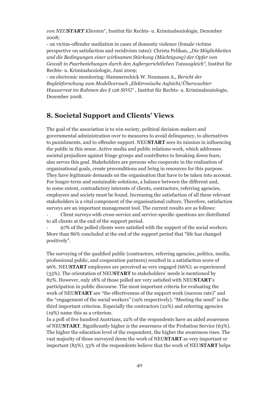*von NEUSTART Kliente*n", Institut für Rechts- u. Kriminalsoziologie, Dezember 2008;

- on victim-offender mediation in cases of domestic violence (female victims perspective on satisfaction and recidivism rates): Christa Pelikan, *"Die Möglichkeiten und die Bedingungen einer wirksamen Stärkung (Mächtigung) der Opfer von Gewalt in Paarbeziehungen durch den Außergerichtlichen Tatausgleich"*, Institut für Rechts- u. Kriminalsoziologie, Juni 2009;

- on electronic monitoring: Hammerschick W. Neumann A., *Bericht der Begleitforschung zum Modellversuch "Elektronische Aufsicht/Überwachter Hausarrest im Rahmen des § 126 StVG*" , Institut für Rechts- u. Kriminalsoziologie, Dezember 2008.

## **8. Societal Support and Clients' Views**

The goal of the association is to win society, political decision-makers and governmental administration over to measures to avoid delinquency, to alternatives to punishments, and to offender support. NEU**START** sees its mission in influencing the public in this sense. Active media and public relations work, which addresses societal prejudices against fringe groups and contributes to breaking down fears, also serves this goal. Stakeholders are persons who cooperate in the realisation of organisational goals, create preconditions and bring in resources for this purpose. They have legitimate demands on the organisation that have to be taken into account. For longer-term and sustainable solutions, a balance between the different and, to some extent, contradictory interests of clients, contractors, referring agencies, employees and society must be found. Increasing the satisfaction of all these relevant stakeholders is a vital component of the organisational culture. Therefore, satisfaction surveys are an important management tool. The current results are as follows:

- Client surveys with cross-service and service-specific questions are distributed to all clients at the end of the support period.

- 97% of the polled clients were satisfied with the support of the social workers. More than 86% concluded at the end of the support period that "life has changed positively".

The surveying of the qualified public (contractors, referring agencies, politics, media, professional public, and cooperation partners) resulted in a satisfaction score of 96%. NEU**START** employees are perceived as very engaged (66%); as experienced (33%). The orientation of NEU**START** to stakeholders' needs is mentioned by 82%. However, only 18% of those polled are very satisfied with NEU**START**'s participation in public discourse. The most important criteria for evaluating the work of NEU**START** are "the effectiveness of the support work (success rate)" and the "engagement of the social workers" (19% respectively). "Meeting the need" is the third important criterion. Especially the contractors (22%) and referring agencies (19%) name this as a criterion.

In a poll of five hundred Austrians, 22% of the respondents have an aided awareness of NEU**START**. Significantly higher is the awareness of the Probation Service (63%). The higher the education level of the respondent, the higher the awareness rises. The vast majority of those surveyed deem the work of NEU**START** as very important or important (85%). 53% of the respondents believe that the work of NEU**START** helps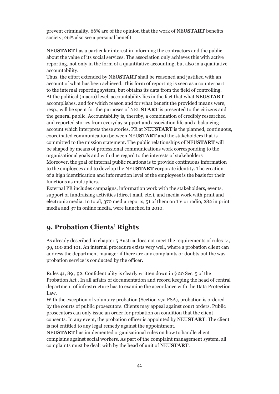prevent criminality. 66% are of the opinion that the work of NEU**START** benefits society; 26% also see a personal benefit.

NEU**START** has a particular interest in informing the contractors and the public about the value of its social services. The association only achieves this with active reporting, not only in the form of a quantitative accounting, but also in a qualitative accountability.

Thus, the effort extended by NEU**START** shall be reasoned and justified with an account of what has been achieved. This form of reporting is seen as a counterpart to the internal reporting system, but obtains its data from the field of controlling. At the political (macro) level, accountability lies in the fact that what NEU**START** accomplishes, and for which reason and for what benefit the provided means were, resp., will be spent for the purposes of NEU**START** is presented to the citizens and the general public. Accountability is, thereby, a combination of credibly researched and reported stories from everyday support and association life and a balancing account which interprets these stories. PR at NEU**START** is the planned, continuous, coordinated communication between NEU**START** and the stakeholders that is committed to the mission statement. The public relationships of NEU**START** will be shaped by means of professional communications work corresponding to the organisational goals and with due regard to the interests of stakeholders Moreover, the goal of internal public relations is to provide continuous information to the employees and to develop the NEU**START** corporate identity. The creation of a high identification and information level of the employees is the basis for their functions as multipliers.

External PR includes campaigns, information work with the stakeholders, events, support of fundraising activities (direct mail, etc.), and media work with print and electronic media. In total, 370 media reports, 51 of them on TV or radio, 282 in print media and 37 in online media, were launched in 2010.

## **9. Probation Clients' Rights**

As already described in chapter 5 Austria does not meet the requirements of rules 14, 99, 100 and 101. An internal procedure exists very well, where a probation client can address the department manager if there are any complaints or doubts out the way probation service is conducted by the officer.

Rules 41, 89 , 92: Confidentiality is clearly written down in § 20 Sec. 5 of the Probation Act . In all affairs of documentation and record keeping the head of central department of infrastructure has to examine the accordance with the Data Protection Law.

With the exception of voluntary probation (Section 27a PSA), probation is ordered by the courts of public prosecutors. Clients may appeal against court orders. Public prosecutors can only issue an order for probation on condition that the client consents. In any event, the probation officer is appointed by NEU**START**. The client is not entitled to any legal remedy against the appointment.

NEU**START** has implemented organisational rules on how to handle client complains against social workers. As part of the complaint management system, all complaints must be dealt with by the head of unit of NEU**START**.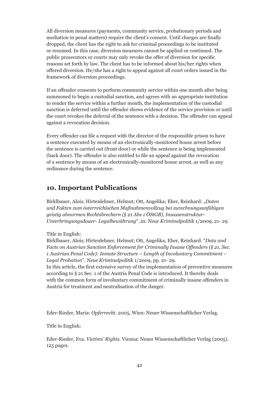All diversion measures (payments, community service, probationary periods and mediation in penal matters) require the client's consent. Until charges are finally dropped, the client has the right to ask for criminal proceedings to be instituted or resumed. In this case, diversion measures cannot be applied or continued. The public prosecutors or courts may only revoke the offer of diversion for specific reasons set forth by law. The client has to be informed about his/her rights when offered diversion. He/she has a right to appeal against all court orders issued in the framework of diversion proceedings.

If an offender consents to perform community service within one month after being summoned to begin a custodial sanction, and agrees with an appropriate institution to render the service within a further month, the implementation of the custodial sanction is deferred until the offender shows evidence of the service provision or until the court revokes the deferral of the sentence with a decision. The offender can appeal against a revocation decision.

Every offender can file a request with the director of the responsible prison to have a sentence executed by means of an electronically-monitored house arrest before the sentence is carried out (front door) or while the sentence is being implemented (back door). The offender is also entitled to file an appeal against the revocation of a sentence by means of an electronically-monitored house arrest, as well as any ordinance during the sentence.

## **10. Important Publications**

Birklbauer, Alois; Hirtenlehner, Helmut; Ott, Angelika; Eher, Reinhard: "*Daten und Fakten zum österreichischen Maßnahmenvollzug bei zurechnungsunfähigen geistig abnormen Rechtsbrechern (§ 21 Abs 1 ÖStGB), Insassenstruktur-Unterbringungsdauer- Legalbewährung*" ,in: *Neue Kriminalpolitik* 1/2009, 21- 29.

Title in English:

Birklbauer, Alois; Hirtenlehner, Helmut; Ott, Angelika; Eher, Reinhard. "*Data and Facts on Austrian Sanction Enforcement for Criminally Insane Offenders (§ 21, Sec. 1 Austrian Penal Code): Inmate Structure – Length of Involuntary Commitment – Legal Probation*". *Neue Kriminalpolitik* 1/2009, pp. 21- 29.

In this article, the first extensive survey of the implementation of preventive measures according to § 21 Sec. 1 of the Austria Penal Code is introduced. It thereby deals with the common form of involuntary commitment of criminally insane offenders in Austria for treatment and neutralisation of the danger.

Eder-Rieder, Maria: *Opferrecht*. 2005, Wien: Neuer Wissenschaftlicher Verlag.

Title in English:

Eder-Rieder, Eva. *Victims' Rights*. Vienna: Neuer Wissenschaftlicher Verlag (2005). 125 pages.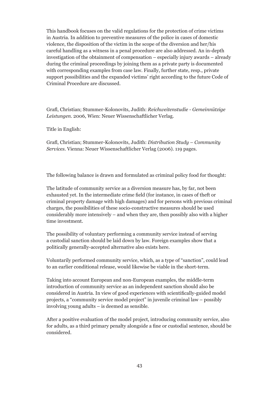This handbook focuses on the valid regulations for the protection of crime victims in Austria. In addition to preventive measures of the police in cases of domestic violence, the disposition of the victim in the scope of the diversion and her/his careful handling as a witness in a penal procedure are also addressed. An in-depth investigation of the obtainment of compensation – especially injury awards – already during the criminal proceedings by joining them as a private party is documented with corresponding examples from case law. Finally, further state, resp., private support possibilities and the expanded victims' right according to the future Code of Criminal Procedure are discussed.

Grafl, Christian; Stummer-Kolonovits, Judith: *Reichweitenstudie - Gemeinnützige Leistungen*. 2006, Wien: Neuer Wissenschaftlicher Verlag.

Title in English:

Grafl, Christian; Stummer-Kolonovits, Judith: *Distribution Study – Community Services*. Vienna: Neuer Wissenschaftlicher Verlag (2006). 119 pages.

The following balance is drawn and formulated as criminal policy food for thought:

The latitude of community service as a diversion measure has, by far, not been exhausted yet. In the intermediate crime field (for instance, in cases of theft or criminal property damage with high damages) and for persons with previous criminal charges, the possibilities of these socio-constructive measures should be used considerably more intensively – and when they are, then possibly also with a higher time investment.

The possibility of voluntary performing a community service instead of serving a custodial sanction should be laid down by law. Foreign examples show that a politically generally-accepted alternative also exists here.

Voluntarily performed community service, which, as a type of "sanction", could lead to an earlier conditional release, would likewise be viable in the short-term.

Taking into account European and non-European examples, the middle-term introduction of community service as an independent sanction should also be considered in Austria. In view of good experiences with scientifically-guided model projects, a "community service model project" in juvenile criminal law – possibly involving young adults – is deemed as sensible.

After a positive evaluation of the model project, introducing community service, also for adults, as a third primary penalty alongside a fine or custodial sentence, should be considered.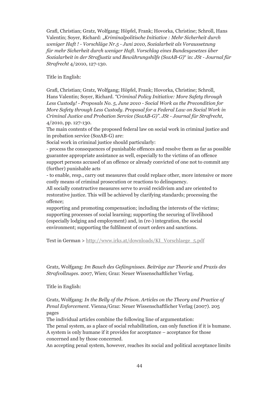Grafl, Christian; Gratz, Wolfgang; Höpfel, Frank; Hovorka, Christine; Schroll, Hans Valentin; Soyer, Richard: "*Kriminalpolitische Initiative : Mehr Sicherheit durch weniger Haft ! - Vorschläge Nr.5 - Juni 2010, Sozialarbeit als Voraussetzung für mehr Sicherheit durch weniger Haft. Vorschlag eines Bundesgesetzes über Sozialarbeit in der Strafjustiz und Bewährungshilfe (SozAB-G)*" in: *JSt - Journal für Strafrecht* 4/2010, 127-130.

Title in English:

Grafl, Christian; Gratz, Wolfgang; Höpfel, Frank; Hovorka, Christine; Schroll, Hans Valentin; Soyer, Richard. *"Criminal Policy Initiative: More Safety through Less Custody! - Proposals No. 5, June 2010 - Social Work as the Precondition for More Safety through Less Custody. Proposal for a Federal Law on Social Work in Criminal Justice and Probation Service (SozAB-G)". JSt - Journal für Strafrecht,*  4/2010, pp. 127-130.

The main contents of the proposed federal law on social work in criminal justice and in probation service (SozAB-G) are:

Social work in criminal justice should particularly:

- process the consequences of punishable offences and resolve them as far as possible guarantee appropriate assistance as well, especially to the victims of an offence support persons accused of an offence or already convicted of one not to commit any (further) punishable acts

- to enable, resp., carry out measures that could replace other, more intensive or more costly means of criminal prosecution or reactions to delinquency.

All socially constructive measures serve to avoid recidivism and are oriented to restorative justice. This will be achieved by clarifying standards; processing the offence;

supporting and promoting compensation; including the interests of the victims; supporting processes of social learning; supporting the securing of livelihood (especially lodging and employment) and, in (re-) integration, the social environment; supporting the fulfilment of court orders and sanctions.

Text in German > http://www.irks.at/downloads/KI\_Vorschlaege\_5.pdf

Gratz, Wolfgang: *Im Bauch des Gefängnisses. Beiträge zur Theorie und Praxis des Strafvollzuges*. 2007, Wien; Graz: Neuer Wissenschaftlicher Verlag.

Title in English:

Gratz, Wolfgang: *In the Belly of the Prison. Articles on the Theory and Practice of Penal Enforcement*. Vienna/Graz: Neuer Wissenschaftlicher Verlag (2007). 205 pages

The individual articles combine the following line of argumentation:

The penal system, as a place of social rehabilitation, can only function if it is humane. A system is only humane if it provides for acceptance – acceptance for those concerned and by those concerned.

An accepting penal system, however, reaches its social and political acceptance limits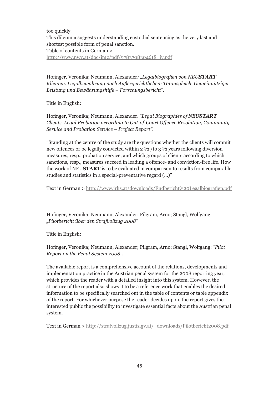too quickly.

This dilemma suggests understanding custodial sentencing as the very last and shortest possible form of penal sanction. Table of contents in German > http://www.nwv.at/doc/img/pdf/9783708304618\_iv.pdf

Hofinger, Veronika; Neumann, Alexander*: "Legalbiografien von NEUSTART Klienten. Legalbewährung nach Außergerichtlichem Tatausgleich, Gemeinnütziger Leistung und Bewährungshilfe – Forschungsbericht"*.

Title in English:

Hofinger, Veronika; Neumann, Alexander. *"Legal Biographies of NEUSTART Clients. Legal Probation according to Out-of-Court Offence Resolution, Community Service and Probation Service – Project Report".*

"Standing at the centre of the study are the questions whether the clients will commit new offences or be legally convicted within 2 ½ /to 3 ½ years following diversion measures, resp., probation service, and which groups of clients according to which sanctions, resp., measures succeed in leading a offence- and conviction-free life. How the work of NEU**START** is to be evaluated in comparison to results from comparable studies and statistics in a special-preventative regard (…)"

Text in German > http://www.irks.at/downloads/Endbericht%20Legalbiografien.pdf

Hofinger, Veronika; Neumann, Alexander; Pilgram, Arno; Stangl, Wolfgang: *"Pilotbericht über den Strafvollzug 2008"*

Title in English:

Hofinger, Veronika; Neumann, Alexander; Pilgram, Arno; Stangl, Wolfgang: *"Pilot Report on the Penal System 2008".*

The available report is a comprehensive account of the relations, developments and implementation practice in the Austrian penal system for the 2008 reporting year, which provides the reader with a detailed insight into this system. However, the structure of the report also shows it to be a reference work that enables the desired information to be specifically searched out in the table of contents or table appendix of the report. For whichever purpose the reader decides upon, the report gives the interested public the possibility to investigate essential facts about the Austrian penal system.

Text in German > http://strafvollzug.justiz.gv.at/\_downloads/Pilotbericht2008.pdf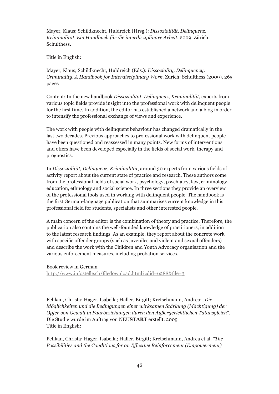Mayer, Klaus; Schildknecht, Huldreich (Hrsg.): *Dissozialität, Delinquenz, Kriminalität. Ein Handbuch für die interdisziplinäre Arbeit*. 2009, Zürich: Schulthess.

Title in English:

Mayer, Klaus; Schildknecht, Huldreich (Eds.): *Dissociality, Delinquency, Criminality. A Handbook for Interdisciplinary Work*. Zurich: Schulthess (2009). 265 pages

Content: In the new handbook *Dissozialität, Delinquenz, Kriminalität*, experts from various topic fields provide insight into the professional work with delinquent people for the first time. In addition, the editor has established a network and a blog in order to intensify the professional exchange of views and experience.

The work with people with delinquent behaviour has changed dramatically in the last two decades. Previous approaches to professional work with delinquent people have been questioned and reassessed in many points. New forms of interventions and offers have been developed especially in the fields of social work, therapy and prognostics.

In *Dissozialität, Delinquenz, Kriminalität*, around 30 experts from various fields of activity report about the current state of practice and research. These authors come from the professional fields of social work, psychology, psychiatry, law, criminology, education, ethnology and social science. In three sections they provide an overview of the professional tools used in working with delinquent people. The handbook is the first German-language publication that summarises current knowledge in this professional field for students, specialists and other interested people.

A main concern of the editor is the combination of theory and practice. Therefore, the publication also contains the well-founded knowledge of practitioners, in addition to the latest research findings. As an example, they report about the concrete work with specific offender groups (such as juveniles and violent and sexual offenders) and describe the work with the Children and Youth Advocacy organisation and the various enforcement measures, including probation services.

Book review in German

http://www.infostelle.ch/filedownload.html?cdid=6288&file=3

Pelikan, Christa: Hager, Isabella; Haller, Birgitt; Kretschmann, Andrea: "Die *Möglichkeiten und die Bedingungen einer wirksamen Stärkung (Mächtigung) der Opfer von Gewalt in Paarbeziehungen durch den Außergerichtlichen Tatausgleich".*  Die Studie wurde im Auftrag von NEU**START** erstellt. 2009 Title in English:

Pelikan, Christa; Hager, Isabella; Haller, Birgitt; Kretschmann, Andrea et al. *"The Possibilities and the Conditions for an Effective Reinforcement (Empowerment)*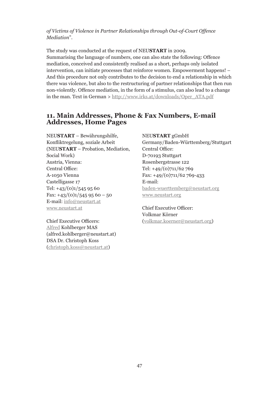*of Victims of Violence in Partner Relationships through Out-of-Court Offence Mediation*".

The study was conducted at the request of NEU**START** in 2009. Summarising the language of numbers, one can also state the following: Offence mediation, conceived and consistently realised as a short, perhaps only isolated intervention, can initiate processes that reinforce women. Empowerment happens! – And this procedure not only contributes to the decision to end a relationship in which there was violence, but also to the restructuring of partner relationships that then run non-violently. Offence mediation, in the form of a stimulus, can also lead to a change in the man. Text in German > http://www.irks.at/downloads/Oper\_ATA.pdf

## **11. Main Addresses, Phone & Fax Numbers, E-mail Addresses, Home Pages**

NEU**START** – Bewährungshilfe, Konfliktregelung, soziale Arbeit (NEU**START** – Probation, Mediation, Social Work) Austria, Vienna: Central Office: A-1050 Vienna Castelligasse 17 Tel:  $+43/(0)1/5459560$ Fax:  $+43/(0)1/5459560 - 50$ E-mail: info@neustart.at www.neustart.at

Chief Executive Officers: Alfred Kohlberger MAS (alfred.kohlberger@neustart.at) DSA Dr. Christoph Koss (christoph.koss@neustart.at)

NEU**START** gGmbH Germany/Baden-Württemberg/Stuttgart Central Office: D-70193 Stuttgart Rosenbergstrasse 122 Tel: +49/(0)711/62 769 Fax: +49/(0)711/62 769-433 E-mail: baden-wuerttemberg@neustart.org www.neustart.org

Chief Executive Officer: Volkmar Körner (volkmar.koerner@neustart.org)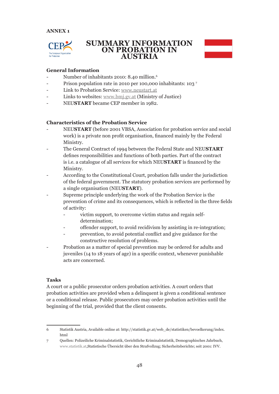

## **SUMMARY INFORMATION ON PROBATION IN AUSTRIA**



#### **General Information**

- Number of inhabitants 2010: 8.40 million.<sup>6</sup>
- Prison population rate in 2010 per 100,000 inhabitants: 103<sup>7</sup>
- Link to Probation Service: www.neustart.at
- Links to websites: www.bmj.gv.at (Ministry of Justice)
- NEU**START** became CEP member in 1982.

#### **Characteristics of the Probation Service**

- NEU**START** (before 2001 VBSA, Association for probation service and social work) is a private non profit organisation, financed mainly by the Federal Ministry.
- The General Contract of 1994 between the Federal State and NEU**START** defines responsibilities and functions of both parties. Part of the contract is i.e. a catalogue of all services for which NEU**START** is financed by the Ministry.
- According to the Constitutional Court, probation falls under the jurisdiction of the federal government. The statutory probation services are performed by a single organisation (NEU**START**).
- Supreme principle underlying the work of the Probation Service is the prevention of crime and its consequences, which is reflected in the three fields of activity:
	- victim support, to overcome victim status and regain selfdetermination;
	- offender support, to avoid recidivism by assisting in re-integration;
	- prevention, to avoid potential conflict and give guidance for the constructive resolution of problems.
- Probation as a matter of special prevention may be ordered for adults and juveniles (14 to 18 years of age) in a specific context, whenever punishable acts are concerned.

#### **Tasks**

A court or a public prosecutor orders probation activities. A court orders that probation activities are provided when a delinquent is given a conditional sentence or a conditional release. Public prosecutors may order probation activities until the beginning of the trial, provided that the client consents.

<sup>6</sup> Statistik Austria, Available online at: http://statistik.gv.at/web\_de/statistiken/bevoelkerung/index. html

<sup>7</sup> Quellen: Polizeiliche Kriminalstatistik, Gerichtliche Kriminalstatistik, Demographisches Jahrbuch, www.statistik.at,Statistische Übersicht über den Strafvollzug; Sicherheitsberichte; seit 2001: IVV.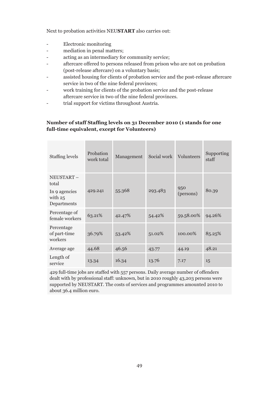Next to probation activities NEU**START** also carries out:

- Electronic monitoring
- mediation in penal matters;
- acting as an intermediary for community service;
- aftercare offered to persons released from prison who are not on probation (post-release aftercare) on a voluntary basis;
- assisted housing for clients of probation service and the post-release aftercare service in two of the nine federal provinces;
- work training for clients of the probation service and the post-release aftercare service in two of the nine federal provinces.
- trial support for victims throughout Austria.

#### **Number of staff Staffing levels on 31 December 2010 (1 stands for one full-time equivalent, except for Volunteers)**

| Staffing levels                           | Probation<br>work total | Management | Social work | Volunteers | Supporting<br>staff |
|-------------------------------------------|-------------------------|------------|-------------|------------|---------------------|
| NEUSTART-<br>total                        |                         |            |             | 950        |                     |
| In 9 agencies<br>with $25$<br>Departments | 429.241                 | 55.368     | 293.483     | (persons)  | 80.39               |
| Percentage of<br>female workers           | 63.21%                  | 42.47%     | 54.42%      | 59.58.00%  | 94.26%              |
| Percentage<br>of part-time<br>workers     | 36.79%                  | 53.42%     | 51.02%      | 100.00%    | 85.25%              |
| Average age                               | 44.68                   | 46.56      | 43.77       | 44.19      | 48.21               |
| Length of<br>service                      | 13.34                   | 16.34      | 13.76       | 7.17       | 15                  |

429 full-time jobs are staffed with 557 persons. Daily average number of offenders dealt with by professional staff: unknown, but in 2010 roughly 43,203 persons were supported by NEUSTART. The costs of services and programmes amounted 2010 to about 36.4 million euro.